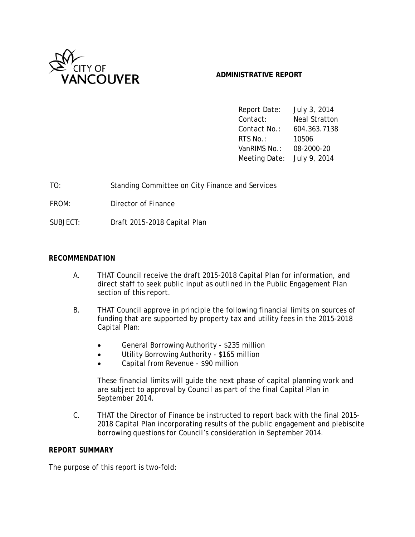

#### **ADMI INISTRATIVE E REPORT**

Report Da Contact: Contact No.: RTS No.: VanRIMS No.: 08-20 Meeting Date: July 9, 2014 te: July 3 3, 2014 Neal Stratton o.: 604.3 363.7138 10506 08-2000-20

| TO:      | Standing Committee on City Finance and Services |
|----------|-------------------------------------------------|
| FROM:    | Director of Finance                             |
| SUBJECT: | Draft 2015-2018 Capital Plan                    |

#### *RECOMM MENDATION*

- A A. THAT Council receive the draft 2015-2018 Capital Plan for information, and direct staff to seek public input as outlined in the Public Engagement Plan section of this report. THAT Council receive the draft 2015-2018 Capital Plan for information, and<br>direct staff to seek public input as outlined in the Public Engagement Plan<br>section of this report.<br>THAT Council approve in principle the following
- $B<sub>1</sub>$ funding that are supported by property tax and utility fees in the 2015-2018 Capital Plan:
	- $\bullet$ General Borrowing Authority - \$235 million
	- $\bullet$ Utility Borrowing Authority - \$165 million
	- $\bullet$ Capital from Revenue - \$90 million

These financial limits will guide the next phase of capital planning work and are subject to approval by Council as part of the final Capital Plan in Septe mber 2014.

 $C_{\cdot}$ THAT the Director of Finance be instructed to report back with the final 2015-2018 Capital Plan incorporating results of the public engagement and plebiscite borrowing questions for Council's consideration in September 2014.

#### *REPORT SUMMARY*

The purpose of this report is two-fold: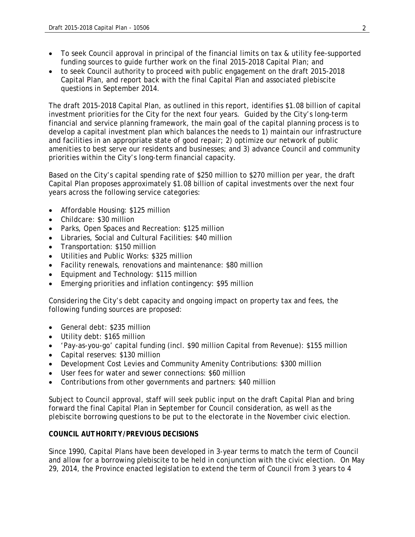- To seek Council approval in principal of the financial limits on tax & utility fee-supported funding sources to guide further work on the final 2015-2018 Capital Plan; and
- to seek Council authority to proceed with public engagement on the draft 2015-2018 Capital Plan, and report back with the final Capital Plan and associated plebiscite questions in September 2014.

The draft 2015-2018 Capital Plan, as outlined in this report, identifies \$1.08 billion of capital investment priorities for the City for the next four years. Guided by the City's long-term financial and service planning framework, the main goal of the capital planning process is to develop a capital investment plan which balances the needs to 1) maintain our infrastructure and facilities in an appropriate state of good repair; 2) optimize our network of public amenities to best serve our residents and businesses; and 3) advance Council and community priorities within the City's long-term financial capacity.

Based on the City's capital spending rate of \$250 million to \$270 million per year, the draft Capital Plan proposes approximately \$1.08 billion of capital investments over the next four years across the following service categories:

- Affordable Housing: \$125 million
- Childcare: \$30 million
- Parks, Open Spaces and Recreation: \$125 million
- Libraries, Social and Cultural Facilities: \$40 million
- Transportation: \$150 million
- Utilities and Public Works: \$325 million
- Facility renewals, renovations and maintenance: \$80 million
- Equipment and Technology: \$115 million
- Emerging priorities and inflation contingency: \$95 million

Considering the City's debt capacity and ongoing impact on property tax and fees, the following funding sources are proposed:

- General debt: \$235 million
- Utility debt: \$165 million
- 'Pay-as-you-go' capital funding (incl. \$90 million Capital from Revenue): \$155 million
- Capital reserves: \$130 million
- Development Cost Levies and Community Amenity Contributions: \$300 million
- User fees for water and sewer connections: \$60 million
- Contributions from other governments and partners: \$40 million

Subject to Council approval, staff will seek public input on the draft Capital Plan and bring forward the final Capital Plan in September for Council consideration, as well as the plebiscite borrowing questions to be put to the electorate in the November civic election.

#### *COUNCIL AUTHORITY/PREVIOUS DECISIONS*

Since 1990, Capital Plans have been developed in 3-year terms to match the term of Council and allow for a borrowing plebiscite to be held in conjunction with the civic election. On May 29, 2014, the Province enacted legislation to extend the term of Council from 3 years to 4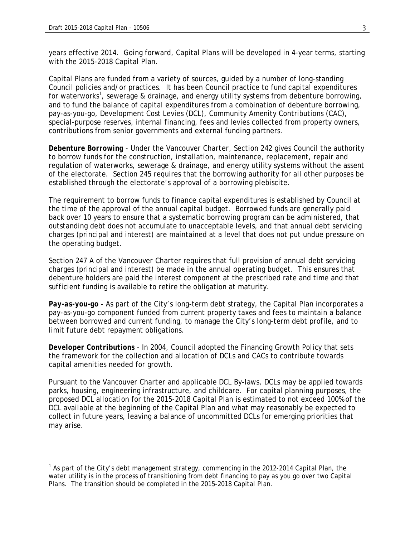years effective 2014. Going forward, Capital Plans will be developed in 4-year terms, starting with the 2015-2018 Capital Plan.

Capital Plans are funded from a variety of sources, guided by a number of long-standing Council policies and/or practices. It has been Council practice to fund capital expenditures for waterworks<sup>1</sup>, sewerage & drainage, and energy utility systems from debenture borrowing, and to fund the balance of capital expenditures from a combination of debenture borrowing, pay-as-you-go, Development Cost Levies (DCL), Community Amenity Contributions (CAC), special-purpose reserves, internal financing, fees and levies collected from property owners, contributions from senior governments and external funding partners.

*Debenture Borrowing* - Under the *Vancouver Charter*, Section 242 gives Council the authority to borrow funds for the construction, installation, maintenance, replacement, repair and regulation of waterworks, sewerage & drainage, and energy utility systems without the assent of the electorate. Section 245 requires that the borrowing authority for all other purposes be established through the electorate's approval of a borrowing plebiscite.

The requirement to borrow funds to finance capital expenditures is established by Council at the time of the approval of the annual capital budget. Borrowed funds are generally paid back over 10 years to ensure that a systematic borrowing program can be administered, that outstanding debt does not accumulate to unacceptable levels, and that annual debt servicing charges (principal and interest) are maintained at a level that does not put undue pressure on the operating budget.

Section 247 A of the *Vancouver Charter* requires that full provision of annual debt servicing charges (principal and interest) be made in the annual operating budget. This ensures that debenture holders are paid the interest component at the prescribed rate and time and that sufficient funding is available to retire the obligation at maturity.

*Pay-as-you-go* - As part of the City's long-term debt strategy, the Capital Plan incorporates a pay-as-you-go component funded from current property taxes and fees to maintain a balance between borrowed and current funding, to manage the City's long-term debt profile, and to limit future debt repayment obligations.

*Developer Contributions* - In 2004, Council adopted the *Financing Growth Policy* that sets the framework for the collection and allocation of DCLs and CACs to contribute towards capital amenities needed for growth.

Pursuant to the *Vancouver Charter* and applicable DCL By-laws, DCLs may be applied towards parks, housing, engineering infrastructure, and childcare. For capital planning purposes, the proposed DCL allocation for the 2015-2018 Capital Plan is estimated to not exceed 100% of the DCL available at the beginning of the Capital Plan and what may reasonably be expected to collect in future years, leaving a balance of uncommitted DCLs for emerging priorities that may arise.

<sup>&</sup>lt;u>and the controlled the City's debt management strategy, commencing in the 2012-2014 Capital Plan, the set of the S</u> water utility is in the process of transitioning from debt financing to pay as you go over two Capital Plans. The transition should be completed in the 2015-2018 Capital Plan.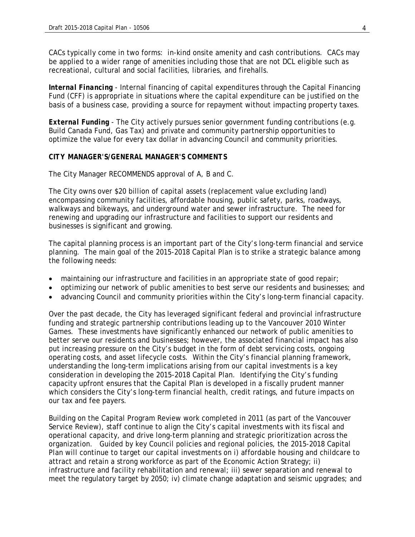CACs typically come in two forms: in-kind onsite amenity and cash contributions. CACs may be applied to a wider range of amenities including those that are not DCL eligible such as recreational, cultural and social facilities, libraries, and firehalls.

*Internal Financing* - Internal financing of capital expenditures through the Capital Financing Fund (CFF) is appropriate in situations where the capital expenditure can be justified on the basis of a business case, providing a source for repayment without impacting property taxes.

*External Funding* - The City actively pursues senior government funding contributions (e.g. Build Canada Fund, Gas Tax) and private and community partnership opportunities to optimize the value for every tax dollar in advancing Council and community priorities.

#### *CITY MANAGER'S/GENERAL MANAGER'S COMMENTS*

The City Manager RECOMMENDS approval of A, B and C.

The City owns over \$20 billion of capital assets (replacement value excluding land) encompassing community facilities, affordable housing, public safety, parks, roadways, walkways and bikeways, and underground water and sewer infrastructure. The need for renewing and upgrading our infrastructure and facilities to support our residents and businesses is significant and growing.

The capital planning process is an important part of the City's long-term financial and service planning. The main goal of the 2015-2018 Capital Plan is to strike a strategic balance among the following needs:

- maintaining our infrastructure and facilities in an appropriate state of good repair;
- optimizing our network of public amenities to best serve our residents and businesses; and
- advancing Council and community priorities within the City's long-term financial capacity.

Over the past decade, the City has leveraged significant federal and provincial infrastructure funding and strategic partnership contributions leading up to the Vancouver 2010 Winter Games. These investments have significantly enhanced our network of public amenities to better serve our residents and businesses; however, the associated financial impact has also put increasing pressure on the City's budget in the form of debt servicing costs, ongoing operating costs, and asset lifecycle costs. Within the City's financial planning framework, understanding the long-term implications arising from our capital investments is a key consideration in developing the 2015-2018 Capital Plan. Identifying the City's funding capacity upfront ensures that the Capital Plan is developed in a fiscally prudent manner which considers the City's long-term financial health, credit ratings, and future impacts on our tax and fee payers.

Building on the Capital Program Review work completed in 2011 (as part of the Vancouver Service Review), staff continue to align the City's capital investments with its fiscal and operational capacity, and drive long-term planning and strategic prioritization across the organization. Guided by key Council policies and regional policies, the 2015-2018 Capital Plan will continue to target our capital investments on i) affordable housing and childcare to attract and retain a strong workforce as part of the Economic Action Strategy; ii) infrastructure and facility rehabilitation and renewal; iii) sewer separation and renewal to meet the regulatory target by 2050; iv) climate change adaptation and seismic upgrades; and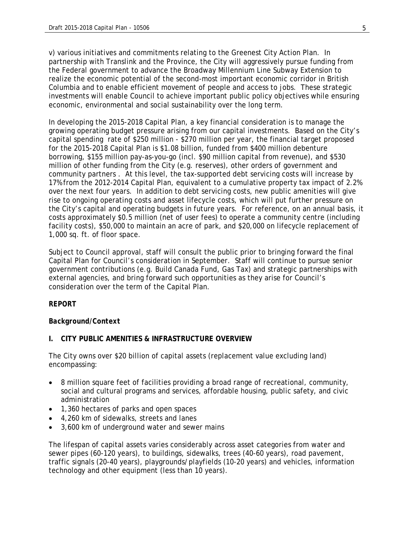v) various initiatives and commitments relating to the Greenest City Action Plan. In partnership with Translink and the Province, the City will aggressively pursue funding from the Federal government to advance the Broadway Millennium Line Subway Extension to realize the economic potential of the second-most important economic corridor in British Columbia and to enable efficient movement of people and access to jobs. These strategic investments will enable Council to achieve important public policy objectives while ensuring economic, environmental and social sustainability over the long term.

In developing the 2015-2018 Capital Plan, a key financial consideration is to manage the growing operating budget pressure arising from our capital investments. Based on the City's capital spending rate of \$250 million - \$270 million per year, the financial target proposed for the 2015-2018 Capital Plan is \$1.08 billion, funded from \$400 million debenture borrowing, \$155 million pay-as-you-go (incl. \$90 million capital from revenue), and \$530 million of other funding from the City (e.g. reserves), other orders of government and community partners . At this level, the tax-supported debt servicing costs will increase by 17% from the 2012-2014 Capital Plan, equivalent to a cumulative property tax impact of 2.2% over the next four years. In addition to debt servicing costs, new public amenities will give rise to ongoing operating costs and asset lifecycle costs, which will put further pressure on the City's capital and operating budgets in future years. For reference, on an annual basis, it costs approximately \$0.5 million (net of user fees) to operate a community centre (including facility costs), \$50,000 to maintain an acre of park, and \$20,000 on lifecycle replacement of 1,000 sq. ft. of floor space.

Subject to Council approval, staff will consult the public prior to bringing forward the final Capital Plan for Council's consideration in September. Staff will continue to pursue senior government contributions (e.g. Build Canada Fund, Gas Tax) and strategic partnerships with external agencies, and bring forward such opportunities as they arise for Council's consideration over the term of the Capital Plan.

#### *REPORT*

#### *Background/Context*

#### **I. CITY PUBLIC AMENITIES & INFRASTRUCTURE OVERVIEW**

The City owns over \$20 billion of capital assets (replacement value excluding land) encompassing:

- 8 million square feet of facilities providing a broad range of recreational, community, social and cultural programs and services, affordable housing, public safety, and civic administration
- 1,360 hectares of parks and open spaces
- 4,260 km of sidewalks, streets and lanes
- 3,600 km of underground water and sewer mains

The lifespan of capital assets varies considerably across asset categories from water and sewer pipes (60-120 years), to buildings, sidewalks, trees (40-60 years), road pavement, traffic signals (20-40 years), playgrounds/playfields (10-20 years) and vehicles, information technology and other equipment (less than 10 years).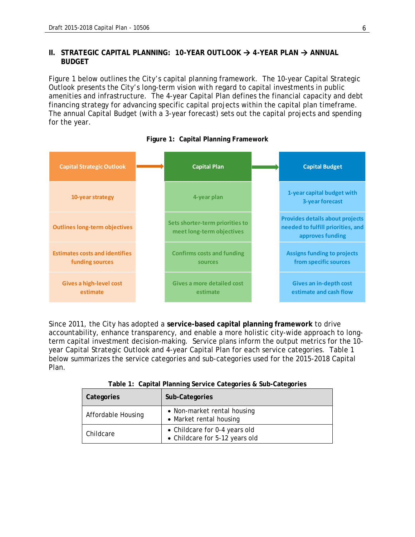#### **II.** STRATEGIC CAPITAL PLANNING: 10-YEAR OUTLOOK → 4-YEAR PLAN → ANNUAL **BUDGET**

Figure 1 below outlines the City's capital planning framework. The 10-year Capital Strategic Outlook presents the City's long-term vision with regard to capital investments in public amenities and infrastructure. The 4-year Capital Plan defines the financial capacity and debt financing strategy for advancing specific capital projects within the capital plan timeframe. The annual Capital Budget (with a 3-year forecast) sets out the capital projects and spending for the year.



**Figure 1: Capital Planning Framework** 

Since 2011, the City has adopted a **service-based capital planning framework** to drive accountability, enhance transparency, and enable a more holistic city-wide approach to longterm capital investment decision-making. Service plans inform the output metrics for the 10 year Capital Strategic Outlook and 4-year Capital Plan for each service categories. Table 1 below summarizes the service categories and sub-categories used for the 2015-2018 Capital Plan.

| Categories | Sub-Categories                                                     |
|------------|--------------------------------------------------------------------|
|            | March 1992, and a subscribed and a substitute of the second second |

**Table 1: Capital Planning Service Categories & Sub-Categories** 

|           | Categories         | Sub-Categories                                                  |
|-----------|--------------------|-----------------------------------------------------------------|
|           | Affordable Housing | • Non-market rental housing<br>• Market rental housing          |
| Childcare |                    | • Childcare for 0-4 years old<br>• Childcare for 5-12 years old |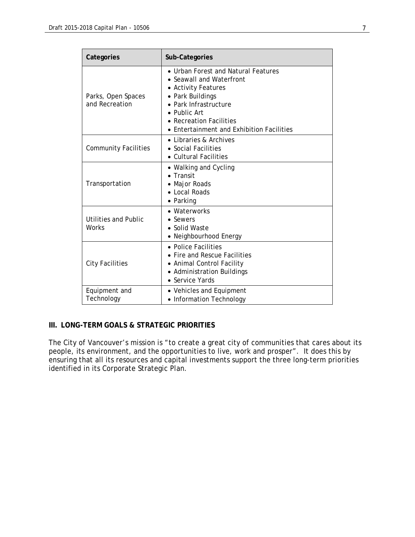| Categories                           | Sub-Categories                                                                                                                                                                                                                   |
|--------------------------------------|----------------------------------------------------------------------------------------------------------------------------------------------------------------------------------------------------------------------------------|
| Parks, Open Spaces<br>and Recreation | • Urban Forest and Natural Features<br>• Seawall and Waterfront<br>• Activity Features<br>• Park Buildings<br>• Park Infrastructure<br>• Public Art<br><b>Recreation Facilities</b><br>• Entertainment and Exhibition Facilities |
| <b>Community Facilities</b>          | • Libraries & Archives<br>• Social Facilities<br>• Cultural Facilities                                                                                                                                                           |
| Transportation                       | • Walking and Cycling<br>$\bullet$ Transit<br>• Major Roads<br>• Local Roads<br>• Parking                                                                                                                                        |
| Utilities and Public<br>Works        | • Waterworks<br>• Sewers<br>• Solid Waste<br>Neighbourhood Energy                                                                                                                                                                |
| <b>City Facilities</b>               | • Police Facilities<br>• Fire and Rescue Facilities<br>• Animal Control Facility<br>• Administration Buildings<br>• Service Yards                                                                                                |
| Equipment and<br>Technology          | • Vehicles and Equipment<br>• Information Technology                                                                                                                                                                             |

#### **III. LONG-TERM GOALS & STRATEGIC PRIORITIES**

The City of Vancouver's mission is "to create a great city of communities that cares about its people, its environment, and the opportunities to live, work and prosper". It does this by ensuring that all its resources and capital investments support the three long-term priorities identified in its Corporate Strategic Plan.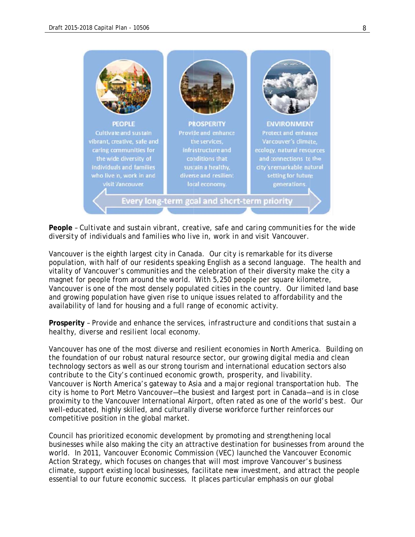

People - Cultivate and sustain vibrant, creative, safe and caring communities for the wide *diversity* of individuals and families who live in, work in and visit Vancouver.

Vancouver is the eighth largest city in Canada. Our city is remarkable for its diverse population, with half of our residents speaking English as a second language. The health and vitality of Vancouver's communities and the celebration of their diversity make the city a magnet for people from around the world. With 5,250 people per square kilometre, Vancouver is one of the most densely populated cities in the country. Our limited land base and growing population have given rise to unique issues related to affordability and the availability of land for housing and a full range of economic activity.

#### **Prosperity** - *Provide and enhance the services, infrastructure and conditions that sustain a healthy, diverse and resilient local economy.*

Vancouver has one of the most diverse and resilient economies in North America. Building on the foundation of our robust natural resource sector, our growing digital media and clean technology sectors as well as our strong tourism and international education sectors also contribute to the City's continued economic growth, prosperity, and livability. the foundation of our robust natural resource sector, our growing digital media and clean<br>technology sectors as well as our strong tourism and international education sectors also<br>contribute to the City's continued economi city is home to Port Metro Vancouver-the busiest and largest port in Canada-and is in close proximity to the Vancouver International Airport, often rated as one of the world's best. Our well-educated, highly skilled, and culturally diverse workforce further reinforces our competitive position in the global market.

Council has prioritized economic development by promoting and strengthening local businesses while also making the city an attractive destination for businesses from around the world. In 2011, Vancouver Economic Commission (VEC) launched the Vancouver Economic Action Strategy, which focuses on changes that will most improve Vancouver's business world. In 2011, Vancouver Economic Commission (VEC) launched the Vancouver Economic<br>Action Strategy, which focuses on changes that will most improve Vancouver's business<br>climate, support existing local businesses, facilit essential to our future economic success. It places particular emphasis on our global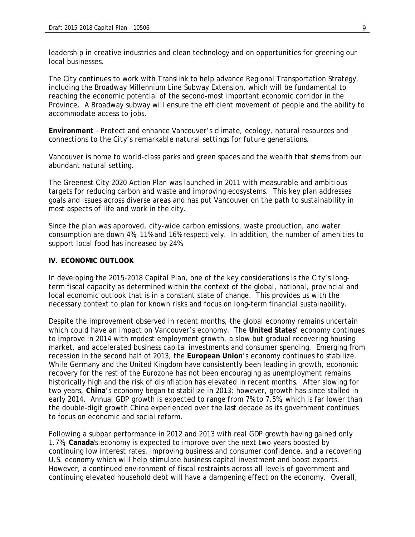leadership in creative industries and clean technology and on opportunities for greening our local businesses.

The City continues to work with Translink to help advance Regional Transportation Strategy, including the Broadway Millennium Line Subway Extension, which will be fundamental to reaching the economic potential of the second-most important economic corridor in the Province. A Broadway subway will ensure the efficient movement of people and the ability to accommodate access to jobs.

**Environment** – *Protect and enhance Vancouver's climate, ecology, natural resources and connections to the City's remarkable natural settings for future generations.* 

Vancouver is home to world-class parks and green spaces and the wealth that stems from our abundant natural setting.

The Greenest City 2020 Action Plan was launched in 2011 with measurable and ambitious targets for reducing carbon and waste and improving ecosystems. This key plan addresses goals and issues across diverse areas and has put Vancouver on the path to sustainability in most aspects of life and work in the city.

Since the plan was approved, city-wide carbon emissions, waste production, and water consumption are down 4%, 11% and 16% respectively. In addition, the number of amenities to support local food has increased by 24%.

#### **IV. ECONOMIC OUTLOOK**

In developing the 2015-2018 Capital Plan, one of the key considerations is the City's longterm fiscal capacity as determined within the context of the global, national, provincial and local economic outlook that is in a constant state of change. This provides us with the necessary context to plan for known risks and focus on long-term financial sustainability.

Despite the improvement observed in recent months, the global economy remains uncertain which could have an impact on Vancouver's economy. The **United States**' economy continues to improve in 2014 with modest employment growth, a slow but gradual recovering housing market, and accelerated business capital investments and consumer spending. Emerging from recession in the second half of 2013, the **European Union**'s economy continues to stabilize. While Germany and the United Kingdom have consistently been leading in growth, economic recovery for the rest of the Eurozone has not been encouraging as unemployment remains historically high and the risk of disinflation has elevated in recent months. After slowing for two years, **China**'s economy began to stabilize in 2013; however, growth has since stalled in early 2014. Annual GDP growth is expected to range from 7% to 7.5%, which is far lower than the double-digit growth China experienced over the last decade as its government continues to focus on economic and social reform.

Following a subpar performance in 2012 and 2013 with real GDP growth having gained only 1.7%, **Canada**'s economy is expected to improve over the next two years boosted by continuing low interest rates, improving business and consumer confidence, and a recovering U.S. economy which will help stimulate business capital investment and boost exports. However, a continued environment of fiscal restraints across all levels of government and continuing elevated household debt will have a dampening effect on the economy. Overall,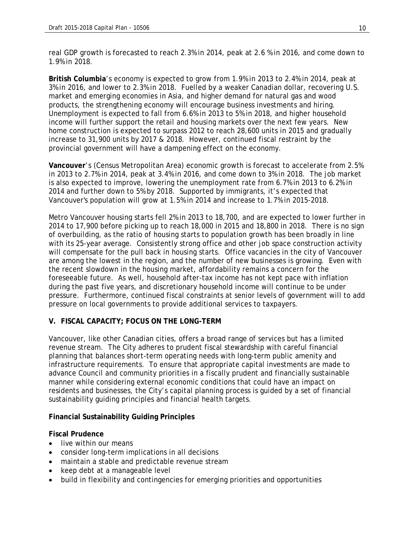real GDP growth is forecasted to reach 2.3% in 2014, peak at 2.6 % in 2016, and come down to 1.9% in 2018.

**British Columbia**'s economy is expected to grow from 1.9% in 2013 to 2.4% in 2014, peak at 3% in 2016, and lower to 2.3% in 2018. Fuelled by a weaker Canadian dollar, recovering U.S. market and emerging economies in Asia, and higher demand for natural gas and wood products, the strengthening economy will encourage business investments and hiring. Unemployment is expected to fall from 6.6% in 2013 to 5% in 2018, and higher household income will further support the retail and housing markets over the next few years. New home construction is expected to surpass 2012 to reach 28,600 units in 2015 and gradually increase to 31,900 units by 2017 & 2018. However, continued fiscal restraint by the provincial government will have a dampening effect on the economy.

**Vancouver**'s (Census Metropolitan Area) economic growth is forecast to accelerate from 2.5% in 2013 to 2.7% in 2014, peak at 3.4% in 2016, and come down to 3% in 2018. The job market is also expected to improve, lowering the unemployment rate from 6.7% in 2013 to 6.2% in 2014 and further down to 5% by 2018. Supported by immigrants, it's expected that Vancouver's population will grow at 1.5% in 2014 and increase to 1.7% in 2015-2018.

Metro Vancouver housing starts fell 2% in 2013 to 18,700, and are expected to lower further in 2014 to 17,900 before picking up to reach 18,000 in 2015 and 18,800 in 2018. There is no sign of overbuilding, as the ratio of housing starts to population growth has been broadly in line with its 25-year average. Consistently strong office and other job space construction activity will compensate for the pull back in housing starts. Office vacancies in the city of Vancouver are among the lowest in the region, and the number of new businesses is growing. Even with the recent slowdown in the housing market, affordability remains a concern for the foreseeable future. As well, household after-tax income has not kept pace with inflation during the past five years, and discretionary household income will continue to be under pressure. Furthermore, continued fiscal constraints at senior levels of government will to add pressure on local governments to provide additional services to taxpayers.

#### **V. FISCAL CAPACITY; FOCUS ON THE LONG-TERM**

Vancouver, like other Canadian cities, offers a broad range of services but has a limited revenue stream. The City adheres to prudent fiscal stewardship with careful financial planning that balances short-term operating needs with long-term public amenity and infrastructure requirements. To ensure that appropriate capital investments are made to advance Council and community priorities in a fiscally prudent and financially sustainable manner while considering external economic conditions that could have an impact on residents and businesses, the City's capital planning process is guided by a set of financial sustainability guiding principles and financial health targets.

#### **Financial Sustainability Guiding Principles**

#### **Fiscal Prudence**

- live within our means
- consider long-term implications in all decisions
- maintain a stable and predictable revenue stream
- keep debt at a manageable level
- build in flexibility and contingencies for emerging priorities and opportunities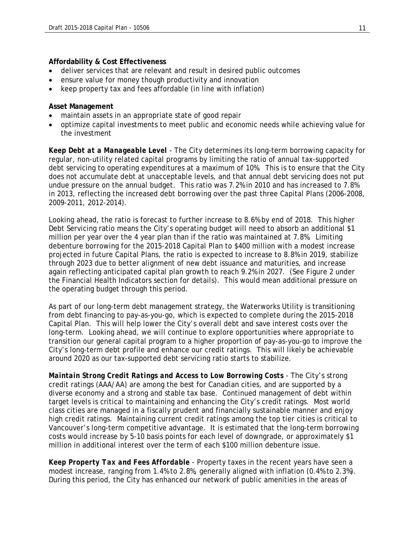#### **Affordability & Cost Effectiveness**

- deliver services that are relevant and result in desired public outcomes
- ensure value for money though productivity and innovation
- keep property tax and fees affordable (in line with inflation)

#### **Asset Management**

- maintain assets in an appropriate state of good repair
- optimize capital investments to meet public and economic needs while achieving value for the investment

*Keep Debt at a Manageable Level* - The City determines its long-term borrowing capacity for regular, non-utility related capital programs by limiting the ratio of annual tax-supported debt servicing to operating expenditures at a maximum of 10%. This is to ensure that the City does not accumulate debt at unacceptable levels, and that annual debt servicing does not put undue pressure on the annual budget. This ratio was 7.2% in 2010 and has increased to 7.8% in 2013, reflecting the increased debt borrowing over the past three Capital Plans (2006-2008, 2009-2011, 2012-2014).

Looking ahead, the ratio is forecast to further increase to 8.6% by end of 2018. This higher Debt Servicing ratio means the City's operating budget will need to absorb an additional \$1 million per year over the 4 year plan than if the ratio was maintained at 7.8%. Limiting debenture borrowing for the 2015-2018 Capital Plan to \$400 million with a modest increase projected in future Capital Plans, the ratio is expected to increase to 8.8% in 2019, stabilize through 2023 due to better alignment of new debt issuance and maturities, and increase again reflecting anticipated capital plan growth to reach 9.2% in 2027. (See Figure 2 under the Financial Health Indicators section for details). This would mean additional pressure on the operating budget through this period.

As part of our long-term debt management strategy, the Waterworks Utility is transitioning from debt financing to pay-as-you-go, which is expected to complete during the 2015-2018 Capital Plan. This will help lower the City's overall debt and save interest costs over the long-term. Looking ahead, we will continue to explore opportunities where appropriate to transition our general capital program to a higher proportion of pay-as-you-go to improve the City's long-term debt profile and enhance our credit ratings. This will likely be achievable around 2020 as our tax-supported debt servicing ratio starts to stabilize.

*Maintain Strong Credit Ratings and Access to Low Borrowing Costs* - The City's strong credit ratings (AAA/AA) are among the best for Canadian cities, and are supported by a diverse economy and a strong and stable tax base. Continued management of debt within target levels is critical to maintaining and enhancing the City's credit ratings. Most world class cities are managed in a fiscally prudent and financially sustainable manner and enjoy high credit ratings. Maintaining current credit ratings among the top tier cities is critical to Vancouver's long-term competitive advantage. It is estimated that the long-term borrowing costs would increase by 5-10 basis points for each level of downgrade, or approximately \$1 million in additional interest over the term of each \$100 million debenture issue.

*Keep Property Tax and Fees Affordable* - Property taxes in the recent years have seen a modest increase, ranging from 1.4% to 2.8%, generally aligned with inflation (0.4% to 2.3%). During this period, the City has enhanced our network of public amenities in the areas of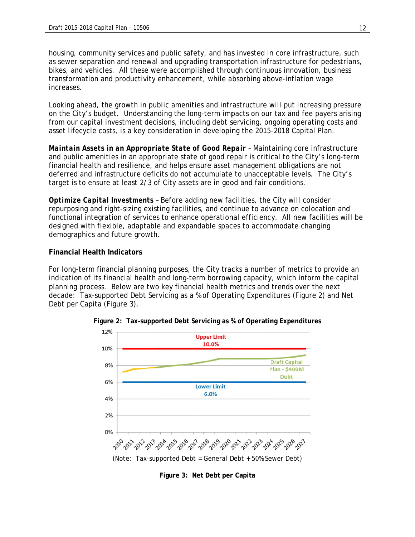housing, community services and public safety, and has invested in core infrastructure, such as sewer separation and renewal and upgrading transportation infrastructure for pedestrians, bikes, and vehicles. All these were accomplished through continuous innovation, business transformation and productivity enhancement, while absorbing above-inflation wage increases s. bikes, and vehicles. All these were accomplished through continuous innovation, business<br>transformation and productivity enhancement, while absorbing above-inflation wage<br>increases.<br>Looking ahead, the growth in public ame

on the City's budget. Understanding the long-term impacts on our tax and fee payers arising from our capital investment decisions, including debt servicing, ongoing operating costs and asset lifecycle costs, is a key consideration in developing the 2015-2018 Capital Plan.

Maintain Assets in an Appropriate State of Good Repair - Maintaining core infrastructure and public amenities in an appropriate state of good repair is critical to the City's long-term financial health and resilience, and helps ensure asset management obligations are not deferred and infrastructure deficits do not accumulate to unacceptable levels. The City's target is to ensure at least 2/3 of City assets are in good and fair conditions.

Optimize Capital Investments - Before adding new facilities, the City will consider repurposing and right-sizing existing facilities, and continue to advance on colocation and repurposing and right-sizing existing facilities, and continue to advance on colocation and<br>functional integration of services to enhance operational efficiency. All new facilities will be designed with flexible, adaptable and expandable spaces to accommodate changing demographics and future growth.

#### **Financial Health Indicators**

For long-term financial planning purposes, the City tracks a number of metrics to provide an indication of its financial health and long-term borrowing capacity, which inform the capital planning process. Below are two key financial health metrics and trends over the next decade: Tax-supported Debt Servicing as a % of Operating Expenditures (Figure 2) and Net Debt per Capita (Figure 3).



**Figure 2: Tax-supported Debt Servicing as % of Operating Expenditures** 

Figure 3: Net Debt per Capita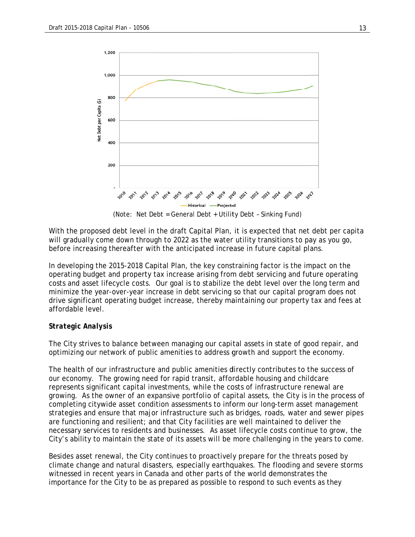

With the proposed debt level in the draft Capital Plan, it is expected that net debt per capita will gradually come down through to 2022 as the water utility transitions to pay as you go, before increasing thereafter with the anticipated increase in future capital plans.

In developing the 2015-2018 Capital Plan, the key constraining factor is the impact on the In developing the 2015-2018 Capital Plan, the key constraining factor is the impact on the<br>operating budget and property tax increase arising from debt servicing and future operating costs and asset lifecycle costs. Our goal is to stabilize the debt level over the long term and minimize the year-over-year increase in debt servicing so that our capital program does not drive significant operating budget increase, thereby maintaining our property tax and fees at affordab le level.

#### *Strategi c Analysis*

The City strives to balance between managing our capital assets in state of good repair, and optimizing our network of public amenities to address growth and support the economy.

The health of our infrastructure and public amenities directly contributes to the success of our economy. The growing need for rapid transit, affordable housing and childcare represents significant capital investments, while the costs of infrastructure renewal are growing. As the owner of an expansive portfolio of capital assets, the City is in the process of completing citywide asset condition assessments to inform our long-term asset management strategies and ensure that major infrastructure such as bridges, roads, water and sewer pipes are functioning and resilient; and that City facilities are well maintained to deliver the necessary services to residents and businesses. As asset lifecycle costs continue to grow, the City's ability to maintain the state of its assets will be more challenging in the years to come.

Besides asset renewal, the City continues to proactively prepare for the threats posed by climate change and natural disasters, especially earthquakes. The flooding and severe storms witnessed in recent years in Canada and other parts of the world demonstrates the importance for the City to be as prepared as possible to respond to such events as they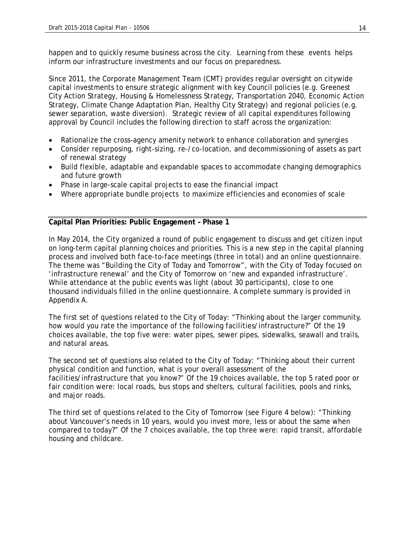happen and to quickly resume business across the city. Learning from these events helps inform our infrastructure investments and our focus on preparedness.

Since 2011, the Corporate Management Team (CMT) provides regular oversight on citywide capital investments to ensure strategic alignment with key Council policies (e.g. Greenest City Action Strategy, Housing & Homelessness Strategy, Transportation 2040, Economic Action Strategy, Climate Change Adaptation Plan, Healthy City Strategy) and regional policies (e.g. sewer separation, waste diversion). Strategic review of all capital expenditures following approval by Council includes the following direction to staff across the organization:

- Rationalize the cross-agency amenity network to enhance collaboration and synergies
- Consider repurposing, right-sizing, re-/co-location, and decommissioning of assets as part of renewal strategy
- Build flexible, adaptable and expandable spaces to accommodate changing demographics and future growth
- Phase in large-scale capital projects to ease the financial impact
- Where appropriate bundle projects to maximize efficiencies and economies of scale

#### **Capital Plan Priorities: Public Engagement – Phase 1**

In May 2014, the City organized a round of public engagement to discuss and get citizen input on long-term capital planning choices and priorities. This is a new step in the capital planning process and involved both face-to-face meetings (three in total) and an online questionnaire. The theme was "Building the City of Today and Tomorrow", with the City of Today focused on 'infrastructure renewal' and the City of Tomorrow on 'new and expanded infrastructure'. While attendance at the public events was light (about 30 participants), close to one thousand individuals filled in the online questionnaire. A complete summary is provided in Appendix A.

The first set of questions related to the City of Today: "Thinking about the larger community, how would you rate the importance of the following facilities/infrastructure?" Of the 19 choices available, the top five were: water pipes, sewer pipes, sidewalks, seawall and trails, and natural areas.

The second set of questions also related to the City of Today: "Thinking about their current physical condition and function, what is your overall assessment of the facilities/infrastructure that you know?" Of the 19 choices available, the top 5 rated poor or fair condition were: local roads, bus stops and shelters, cultural facilities, pools and rinks, and major roads.

The third set of questions related to the City of Tomorrow (see Figure 4 below): "Thinking about Vancouver's needs in 10 years, would you invest more, less or about the same when compared to today?" Of the 7 choices available, the top three were: rapid transit, affordable housing and childcare.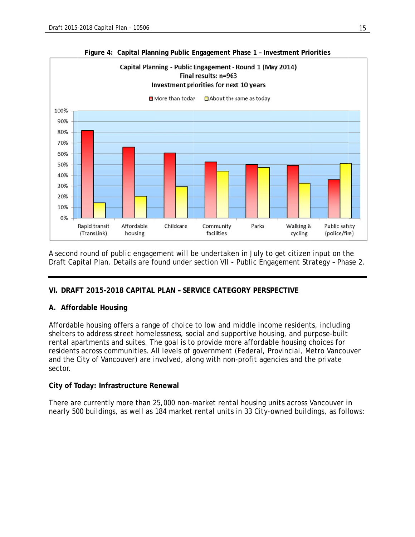

#### **Figure 4: Capital Planning Public Engagement Phase 1 - Investment Priorities**

A second round of public engagement will be undertaken in July to get citizen input on the Draft Capital Plan. Details are found under section VII - Public Engagement Strategy - Phase 2.

#### **VI. DRAF FT 2015-201 18 CAPITAL PLAN – SER RVICE CATEG GORY PERSP PECTIVE**

#### **A.** Affordable Housing

Affordable housing offers a range of choice to low and middle income residents, including shelters to address street homelessness, social and supportive housing, and purpose-built rental apartments and suites. The goal is to provide more affordable housing choices for Affordable housing offers a range of choice to low and middle income residents, including<br>shelters to address street homelessness, social and supportive housing, and purpose-built<br>rental apartments and suites. The goal is and the City of Vancouver) are involved, along with non-profit agencies and the private sector.

#### **City of Today: Infrastructure Renewal**

There are currently more than 25,000 non-market rental housing units across Vancouver in nearly 500 buildings, as well as 184 market rental units in 33 City-owned buildings, as follows: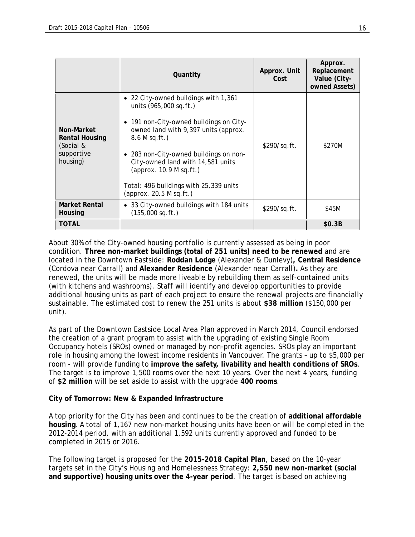|                                                                            | Quantity                                                                                                                                                                                                                                                                                                                                                        | Approx. Unit<br>Cost | Approx.<br>Replacement<br>Value (City-<br>owned Assets) |
|----------------------------------------------------------------------------|-----------------------------------------------------------------------------------------------------------------------------------------------------------------------------------------------------------------------------------------------------------------------------------------------------------------------------------------------------------------|----------------------|---------------------------------------------------------|
| Non-Market<br><b>Rental Housing</b><br>(Social &<br>supportive<br>housing) | • 22 City-owned buildings with 1,361<br>units (965,000 sq.ft.)<br>• 191 non-City-owned buildings on City-<br>owned land with 9,397 units (approx.<br>8.6 M sq. ft.)<br>283 non-City-owned buildings on non-<br>$\bullet$<br>City-owned land with 14,581 units<br>(approx. $10.9$ M sq.ft.)<br>Total: 496 buildings with 25,339 units<br>(approx. 20.5 M sq.ft.) | \$290/sq.ft.         | \$270M                                                  |
| Market Rental<br>Housing                                                   | 33 City-owned buildings with 184 units<br>$\bullet$<br>$(155,000$ sq.ft.)                                                                                                                                                                                                                                                                                       | \$290/sq.ft.         | \$45M                                                   |
| TOTAL                                                                      |                                                                                                                                                                                                                                                                                                                                                                 |                      | \$0.3B                                                  |

About 30% of the City-owned housing portfolio is currently assessed as being in poor condition. **Three non-market buildings (total of 251 units) need to be renewed** and are located in the Downtown Eastside: **Roddan Lodge** (Alexander & Dunlevy)**, Central Residence**  (Cordova near Carrall) and **Alexander Residence** (Alexander near Carrall)**.** As they are renewed, the units will be made more liveable by rebuilding them as self-contained units (with kitchens and washrooms). Staff will identify and develop opportunities to provide additional housing units as part of each project to ensure the renewal projects are financially sustainable. The estimated cost to renew the 251 units is about **\$38 million** (\$150,000 per unit).

As part of the Downtown Eastside Local Area Plan approved in March 2014, Council endorsed the creation of a grant program to assist with the upgrading of existing Single Room Occupancy hotels (SROs) owned or managed by non-profit agencies. SROs play an important role in housing among the lowest income residents in Vancouver. The grants – up to \$5,000 per room - will provide funding to **improve the safety, livability and health conditions of SROs**. The target is to improve 1,500 rooms over the next 10 years. Over the next 4 years, funding of **\$2 million** will be set aside to assist with the upgrade **400 rooms**.

#### **City of Tomorrow: New & Expanded Infrastructure**

A top priority for the City has been and continues to be the creation of **additional affordable housing**. A total of 1,167 new non-market housing units have been or will be completed in the 2012-2014 period, with an additional 1,592 units currently approved and funded to be completed in 2015 or 2016.

The following target is proposed for the **2015-2018 Capital Plan**, based on the 10-year targets set in the City's Housing and Homelessness Strategy: **2,550 new non-market (social and supportive) housing units over the 4-year period**. The target is based on achieving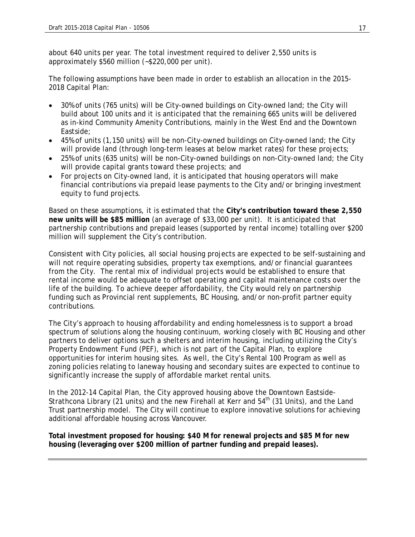about 640 units per year. The total investment required to deliver 2,550 units is approximately \$560 million (~\$220,000 per unit).

The following assumptions have been made in order to establish an allocation in the 2015- 2018 Capital Plan:

- 30% of units (765 units) will be City-owned buildings on City-owned land; the City will build about 100 units and it is anticipated that the remaining 665 units will be delivered as in-kind Community Amenity Contributions, mainly in the West End and the Downtown Eastside;
- 45% of units (1,150 units) will be non-City-owned buildings on City-owned land; the City will provide land (through long-term leases at below market rates) for these projects;
- 25% of units (635 units) will be non-City-owned buildings on non-City-owned land; the City will provide capital grants toward these projects; and
- For projects on City-owned land, it is anticipated that housing operators will make financial contributions via prepaid lease payments to the City and/or bringing investment equity to fund projects.

Based on these assumptions, it is estimated that the **City's contribution toward these 2,550 new units will be \$85 million** (an average of \$33,000 per unit). It is anticipated that partnership contributions and prepaid leases (supported by rental income) totalling over \$200 million will supplement the City's contribution.

Consistent with City policies, all social housing projects are expected to be self-sustaining and will not require operating subsidies, property tax exemptions, and/or financial guarantees from the City. The rental mix of individual projects would be established to ensure that rental income would be adequate to offset operating and capital maintenance costs over the life of the building. To achieve deeper affordability, the City would rely on partnership funding such as Provincial rent supplements, BC Housing, and/or non-profit partner equity contributions.

The City's approach to housing affordability and ending homelessness is to support a broad spectrum of solutions along the housing continuum, working closely with BC Housing and other partners to deliver options such a shelters and interim housing, including utilizing the City's Property Endowment Fund (PEF), which is not part of the Capital Plan, to explore opportunities for interim housing sites. As well, the City's Rental 100 Program as well as zoning policies relating to laneway housing and secondary suites are expected to continue to significantly increase the supply of affordable market rental units.

In the 2012-14 Capital Plan, the City approved housing above the Downtown Eastside-Strathcona Library (21 units) and the new Firehall at Kerr and  $54<sup>th</sup>$  (31 Units), and the Land Trust partnership model. The City will continue to explore innovative solutions for achieving additional affordable housing across Vancouver.

**Total investment proposed for housing: \$40 M for renewal projects and \$85 M for new housing (leveraging over \$200 million of partner funding and prepaid leases).**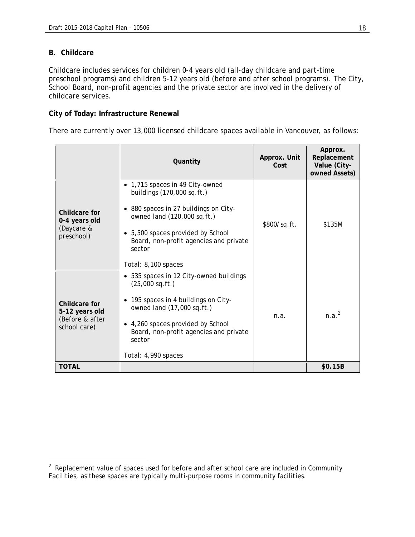#### **B. Childcare**

Childcare includes services for children 0-4 years old (all-day childcare and part-time preschool programs) and children 5-12 years old (before and after school programs). The City, School Board, non-profit agencies and the private sector are involved in the delivery of childcare services.

#### **City of Today: Infrastructure Renewal**

There are currently over 13,000 licensed childcare spaces available in Vancouver, as follows:

|                                                                    | Quantity                                                                                                                                                                                                                                            | Approx. Unit<br>Cost | Approx.<br>Replacement<br>Value (City-<br>owned Assets) |
|--------------------------------------------------------------------|-----------------------------------------------------------------------------------------------------------------------------------------------------------------------------------------------------------------------------------------------------|----------------------|---------------------------------------------------------|
| Childcare for<br>0-4 years old<br>(Daycare &<br>preschool)         | • 1,715 spaces in 49 City-owned<br>buildings (170,000 sq.ft.)<br>880 spaces in 27 buildings on City-<br>owned land (120,000 sq.ft.)<br>• 5,500 spaces provided by School<br>Board, non-profit agencies and private<br>sector<br>Total: 8,100 spaces | \$800/sq.ft.         | \$135M                                                  |
| Childcare for<br>5-12 years old<br>(Before & after<br>school care) | • 535 spaces in 12 City-owned buildings<br>$(25,000$ sq.ft.)<br>• 195 spaces in 4 buildings on City-<br>owned land (17,000 sq.ft.)<br>• 4,260 spaces provided by School<br>Board, non-profit agencies and private<br>sector<br>Total: 4,990 spaces  | n.a.                 | n.a. <sup>2</sup>                                       |
| <b>TOTAL</b>                                                       |                                                                                                                                                                                                                                                     |                      | \$0.15B                                                 |

<sup>&</sup>lt;u>2</u><br><sup>2</sup> Replacement value of spaces used for before and after school care are included in Community Facilities, as these spaces are typically multi-purpose rooms in community facilities.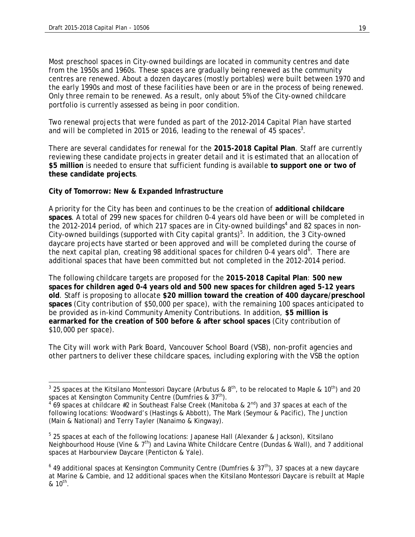$\overline{a}$ 

Most preschool spaces in City-owned buildings are located in community centres and date from the 1950s and 1960s. These spaces are gradually being renewed as the community centres are renewed. About a dozen daycares (mostly portables) were built between 1970 and the early 1990s and most of these facilities have been or are in the process of being renewed. Only three remain to be renewed. As a result, only about 5% of the City-owned childcare portfolio is currently assessed as being in poor condition.

Two renewal projects that were funded as part of the 2012-2014 Capital Plan have started and will be completed in 2015 or 2016, leading to the renewal of 45 spaces<sup>3</sup>.

There are several candidates for renewal for the **2015-2018 Capital Plan**. Staff are currently reviewing these candidate projects in greater detail and it is estimated that an allocation of **\$5 million** is needed to ensure that sufficient funding is available **to support one or two of these candidate projects**.

#### **City of Tomorrow: New & Expanded Infrastructure**

A priority for the City has been and continues to be the creation of **additional childcare spaces**. A total of 299 new spaces for children 0-4 years old have been or will be completed in the 2012-2014 period, of which 217 spaces are in City-owned buildings<sup>4</sup> and 82 spaces in non-City-owned buildings (supported with City capital grants)<sup>5</sup>. In addition, the 3 City-owned daycare projects have started or been approved and will be completed during the course of the next capital plan, creating 98 additional spaces for children 0-4 years old<sup>6</sup>. There are additional spaces that have been committed but not completed in the 2012-2014 period.

The following childcare targets are proposed for the **2015-2018 Capital Plan**: **500 new spaces for children aged 0-4 years old and 500 new spaces for children aged 5-12 years old**. Staff is proposing to allocate **\$20 million toward the creation of 400 daycare/preschool spaces** (City contribution of \$50,000 per space), with the remaining 100 spaces anticipated to be provided as in-kind Community Amenity Contributions. In addition, **\$5 million is earmarked for the creation of 500 before & after school spaces** (City contribution of \$10,000 per space).

The City will work with Park Board, Vancouver School Board (VSB), non-profit agencies and other partners to deliver these childcare spaces, including exploring with the VSB the option

 $^3$  25 spaces at the Kitsilano Montessori Daycare (Arbutus & 8<sup>th</sup>, to be relocated to Maple & 10<sup>th</sup>) and 20 spaces at Kensington Community Centre (Dumfries & 37<sup>th</sup>).

 $4$  69 spaces at childcare #2 in Southeast False Creek (Manitoba & 2<sup>nd</sup>) and 37 spaces at each of the following locations: Woodward's (Hastings & Abbott), The Mark (Seymour & Pacific), The Junction (Main & National) and Terry Tayler (Nanaimo & Kingway).

<sup>&</sup>lt;sup>5</sup> 25 spaces at each of the following locations: Japanese Hall (Alexander & Jackson), Kitsilano Neighbourhood House (Vine &  $7<sup>th</sup>$ ) and Lavina White Childcare Centre (Dundas & Wall), and 7 additional spaces at Harbourview Daycare (Penticton & Yale).

<sup>&</sup>lt;sup>6</sup> 49 additional spaces at Kensington Community Centre (Dumfries & 37<sup>th</sup>), 37 spaces at a new daycare at Marine & Cambie, and 12 additional spaces when the Kitsilano Montessori Daycare is rebuilt at Maple  $8, 10^{th}$ .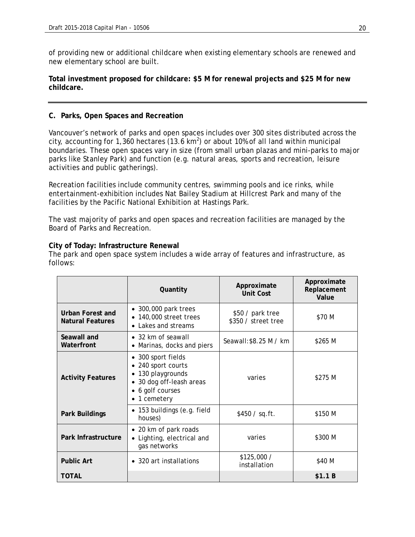of providing new or additional childcare when existing elementary schools are renewed and new elementary school are built.

#### **Total investment proposed for childcare: \$5 M for renewal projects and \$25 M for new childcare.**

#### **C. Parks, Open Spaces and Recreation**

Vancouver's network of parks and open spaces includes over 300 sites distributed across the city, accounting for 1,360 hectares (13.6 km<sup>2</sup>) or about 10% of all land within municipal boundaries. These open spaces vary in size (from small urban plazas and mini-parks to major parks like Stanley Park) and function (e.g. natural areas, sports and recreation, leisure activities and public gatherings).

Recreation facilities include community centres, swimming pools and ice rinks, while entertainment-exhibition includes Nat Bailey Stadium at Hillcrest Park and many of the facilities by the Pacific National Exhibition at Hastings Park.

The vast majority of parks and open spaces and recreation facilities are managed by the Board of Parks and Recreation.

#### **City of Today: Infrastructure Renewal**

The park and open space system includes a wide array of features and infrastructure, as follows:

|                                             | Quantity                                                                                                                  | Approximate<br>Unit Cost                | Approximate<br>Replacement<br>Value |
|---------------------------------------------|---------------------------------------------------------------------------------------------------------------------------|-----------------------------------------|-------------------------------------|
| Urban Forest and<br><b>Natural Features</b> | • 300,000 park trees<br>• 140,000 street trees<br>• Lakes and streams                                                     | \$50 / park tree<br>\$350 / street tree | \$70 M                              |
| Seawall and<br>Waterfront                   | • 32 km of seawall<br>Marinas, docks and piers                                                                            | Seawall: \$8.25 M / km                  | \$265 M                             |
| <b>Activity Features</b>                    | • 300 sport fields<br>240 sport courts<br>• 130 playgrounds<br>• 30 dog off-leash areas<br>6 golf courses<br>• 1 cemetery | varies                                  | \$275 M                             |
| Park Buildings                              | • 153 buildings (e.g. field<br>houses)                                                                                    | \$450 / sq. ft.                         | \$150 M                             |
| Park Infrastructure                         | • 20 km of park roads<br>• Lighting, electrical and<br>gas networks                                                       | varies                                  | \$300 M                             |
| <b>Public Art</b>                           | • 320 art installations                                                                                                   | \$125,000 /<br>installation             | \$40 M                              |
| <b>TOTAL</b>                                |                                                                                                                           |                                         | \$1.1 B                             |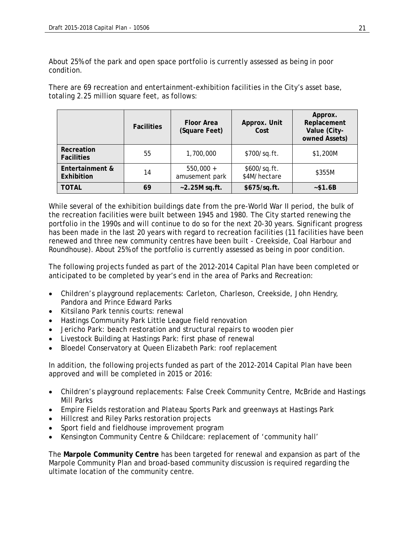About 25% of the park and open space portfolio is currently assessed as being in poor condition.

There are 69 recreation and entertainment-exhibition facilities in the City's asset base, totaling 2.25 million square feet, as follows:

|                                 | <b>Facilities</b> | <b>Floor Area</b><br>(Square Feet) | Approx. Unit<br>Cost         | Approx.<br>Replacement<br>Value (City-<br>owned Assets) |
|---------------------------------|-------------------|------------------------------------|------------------------------|---------------------------------------------------------|
| Recreation<br><b>Facilities</b> | 55                | 1,700,000                          | \$700/sq.ft.                 | \$1,200M                                                |
| Entertainment &<br>Exhibition   | 14                | $550,000 +$<br>amusement park      | \$600/sq.ft.<br>\$4M/hectare | \$355M                                                  |
| <b>TOTAL</b>                    | 69                | $-2.25M$ sq.ft.                    | \$675/sq.ft.                 | ~51.6B                                                  |

While several of the exhibition buildings date from the pre-World War II period, the bulk of the recreation facilities were built between 1945 and 1980. The City started renewing the portfolio in the 1990s and will continue to do so for the next 20-30 years. Significant progress has been made in the last 20 years with regard to recreation facilities (11 facilities have been renewed and three new community centres have been built - Creekside, Coal Harbour and Roundhouse). About 25% of the portfolio is currently assessed as being in poor condition.

The following projects funded as part of the 2012-2014 Capital Plan have been completed or anticipated to be completed by year's end in the area of Parks and Recreation:

- Children's playground replacements: Carleton, Charleson, Creekside, John Hendry, Pandora and Prince Edward Parks
- Kitsilano Park tennis courts: renewal
- Hastings Community Park Little League field renovation
- Jericho Park: beach restoration and structural repairs to wooden pier
- Livestock Building at Hastings Park: first phase of renewal
- Bloedel Conservatory at Queen Elizabeth Park: roof replacement

In addition, the following projects funded as part of the 2012-2014 Capital Plan have been approved and will be completed in 2015 or 2016:

- Children's playground replacements: False Creek Community Centre, McBride and Hastings Mill Parks
- Empire Fields restoration and Plateau Sports Park and greenways at Hastings Park
- Hillcrest and Riley Parks restoration projects
- Sport field and fieldhouse improvement program
- Kensington Community Centre & Childcare: replacement of 'community hall'

The **Marpole Community Centre** has been targeted for renewal and expansion as part of the Marpole Community Plan and broad-based community discussion is required regarding the ultimate location of the community centre.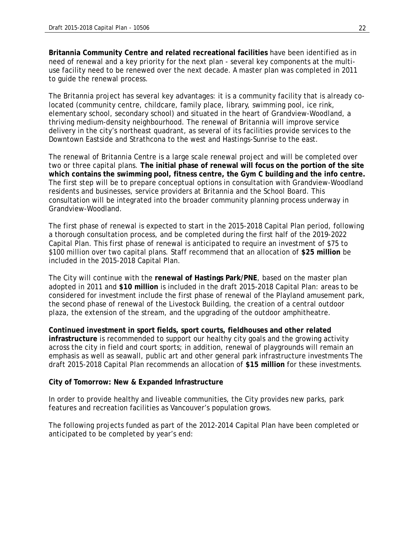**Britannia Community Centre and related recreational facilities** have been identified as in need of renewal and a key priority for the next plan - several key components at the multiuse facility need to be renewed over the next decade. A master plan was completed in 2011 to guide the renewal process.

The Britannia project has several key advantages: it is a community facility that is already colocated (community centre, childcare, family place, library, swimming pool, ice rink, elementary school, secondary school) and situated in the heart of Grandview-Woodland, a thriving medium-density neighbourhood. The renewal of Britannia will improve service delivery in the city's northeast quadrant, as several of its facilities provide services to the Downtown Eastside and Strathcona to the west and Hastings-Sunrise to the east.

The renewal of Britannia Centre is a large scale renewal project and will be completed over two or three capital plans. **The initial phase of renewal will focus on the portion of the site which contains the swimming pool, fitness centre, the Gym C building and the info centre.** The first step will be to prepare conceptual options in consultation with Grandview-Woodland residents and businesses, service providers at Britannia and the School Board. This consultation will be integrated into the broader community planning process underway in Grandview-Woodland.

The first phase of renewal is expected to start in the 2015-2018 Capital Plan period, following a thorough consultation process, and be completed during the first half of the 2019-2022 Capital Plan. This first phase of renewal is anticipated to require an investment of \$75 to \$100 million over two capital plans. Staff recommend that an allocation of **\$25 million** be included in the 2015-2018 Capital Plan.

The City will continue with the **renewal of Hastings Park/PNE**, based on the master plan adopted in 2011 and **\$10 million** is included in the draft 2015-2018 Capital Plan: areas to be considered for investment include the first phase of renewal of the Playland amusement park, the second phase of renewal of the Livestock Building, the creation of a central outdoor plaza, the extension of the stream, and the upgrading of the outdoor amphitheatre.

**Continued investment in sport fields, sport courts, fieldhouses and other related infrastructure** is recommended to support our healthy city goals and the growing activity across the city in field and court sports; in addition, renewal of playgrounds will remain an emphasis as well as seawall, public art and other general park infrastructure investments The draft 2015-2018 Capital Plan recommends an allocation of **\$15 million** for these investments.

#### **City of Tomorrow: New & Expanded Infrastructure**

In order to provide healthy and liveable communities, the City provides new parks, park features and recreation facilities as Vancouver's population grows.

The following projects funded as part of the 2012-2014 Capital Plan have been completed or anticipated to be completed by year's end: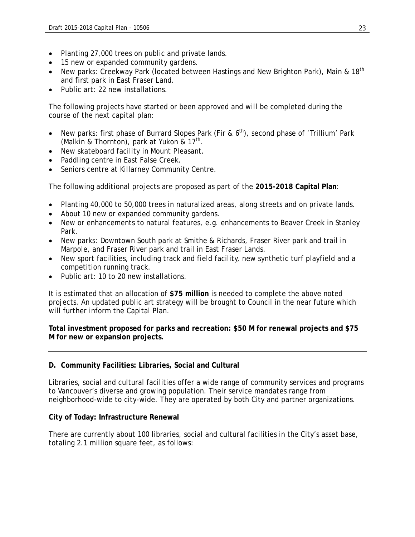- Planting 27,000 trees on public and private lands.
- 15 new or expanded community gardens.
- New parks: Creekway Park (located between Hastings and New Brighton Park), Main &  $18<sup>th</sup>$ and first park in East Fraser Land.
- Public art: 22 new installations.

The following projects have started or been approved and will be completed during the course of the next capital plan:

- New parks: first phase of Burrard Slopes Park (Fir &  $6<sup>th</sup>$ ), second phase of 'Trillium' Park (Malkin & Thornton), park at Yukon &  $17<sup>th</sup>$ .
- New skateboard facility in Mount Pleasant.
- Paddling centre in East False Creek.
- Seniors centre at Killarney Community Centre.

The following additional projects are proposed as part of the **2015-2018 Capital Plan**:

- Planting 40,000 to 50,000 trees in naturalized areas, along streets and on private lands.
- About 10 new or expanded community gardens.
- New or enhancements to natural features, e.g. enhancements to Beaver Creek in Stanley Park.
- New parks: Downtown South park at Smithe & Richards, Fraser River park and trail in Marpole, and Fraser River park and trail in East Fraser Lands.
- New sport facilities, including track and field facility, new synthetic turf playfield and a competition running track.
- Public art: 10 to 20 new installations.

It is estimated that an allocation of **\$75 million** is needed to complete the above noted projects. An updated public art strategy will be brought to Council in the near future which will further inform the Capital Plan.

**Total investment proposed for parks and recreation: \$50 M for renewal projects and \$75 M for new or expansion projects.** 

#### **D. Community Facilities: Libraries, Social and Cultural**

Libraries, social and cultural facilities offer a wide range of community services and programs to Vancouver's diverse and growing population. Their service mandates range from neighborhood-wide to city-wide. They are operated by both City and partner organizations.

#### **City of Today: Infrastructure Renewal**

There are currently about 100 libraries, social and cultural facilities in the City's asset base, totaling 2.1 million square feet, as follows: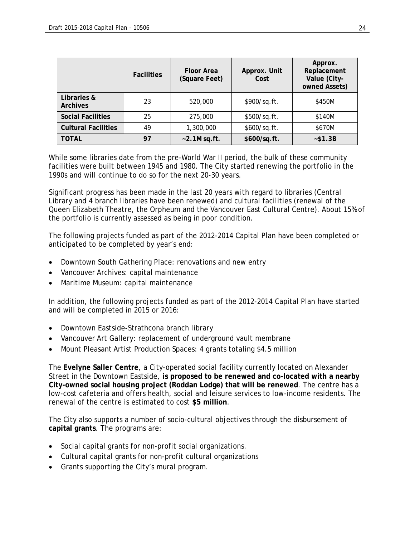|                                | <b>Facilities</b> | <b>Floor Area</b><br>(Square Feet) | Approx. Unit<br>Cost | Approx.<br>Replacement<br>Value (City-<br>owned Assets) |
|--------------------------------|-------------------|------------------------------------|----------------------|---------------------------------------------------------|
| Libraries &<br><b>Archives</b> | 23                | 520,000                            | \$900/sq.ft.         | \$450M                                                  |
| <b>Social Facilities</b>       | 25                | 275,000                            | \$500/sq.ft.         | \$140M                                                  |
| <b>Cultural Facilities</b>     | 49                | 1,300,000                          | \$600/sq.ft.         | \$670M                                                  |
| TOTAL                          | 97                | $\sim$ 2.1M sq.ft.                 | \$600/sq.ft.         | $~-$ \$1.3B                                             |

While some libraries date from the pre-World War II period, the bulk of these community facilities were built between 1945 and 1980. The City started renewing the portfolio in the 1990s and will continue to do so for the next 20-30 years.

Significant progress has been made in the last 20 years with regard to libraries (Central Library and 4 branch libraries have been renewed) and cultural facilities (renewal of the Queen Elizabeth Theatre, the Orpheum and the Vancouver East Cultural Centre). About 15% of the portfolio is currently assessed as being in poor condition.

The following projects funded as part of the 2012-2014 Capital Plan have been completed or anticipated to be completed by year's end:

- Downtown South Gathering Place: renovations and new entry
- Vancouver Archives: capital maintenance
- Maritime Museum: capital maintenance

In addition, the following projects funded as part of the 2012-2014 Capital Plan have started and will be completed in 2015 or 2016:

- Downtown Eastside-Strathcona branch library
- Vancouver Art Gallery: replacement of underground vault membrane
- Mount Pleasant Artist Production Spaces: 4 grants totaling \$4.5 million

The **Evelyne Saller Centre**, a City-operated social facility currently located on Alexander Street in the Downtown Eastside, **is proposed to be renewed and co-located with a nearby City-owned social housing project (Roddan Lodge) that will be renewed**. The centre has a low-cost cafeteria and offers health, social and leisure services to low-income residents. The renewal of the centre is estimated to cost **\$5 million**.

The City also supports a number of socio-cultural objectives through the disbursement of **capital grants**. The programs are:

- Social capital grants for non-profit social organizations.
- Cultural capital grants for non-profit cultural organizations
- Grants supporting the City's mural program.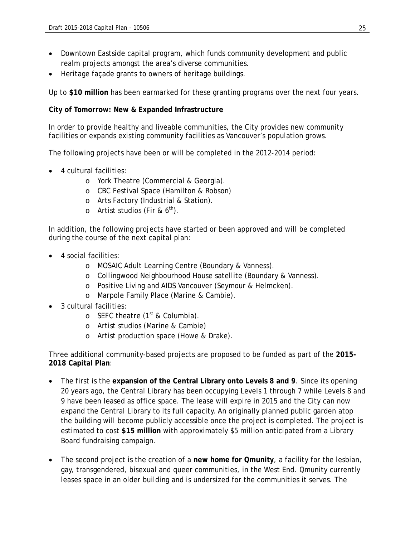- Downtown Eastside capital program, which funds community development and public realm projects amongst the area's diverse communities.
- Heritage façade grants to owners of heritage buildings.

Up to **\$10 million** has been earmarked for these granting programs over the next four years.

#### **City of Tomorrow: New & Expanded Infrastructure**

In order to provide healthy and liveable communities, the City provides new community facilities or expands existing community facilities as Vancouver's population grows.

The following projects have been or will be completed in the 2012-2014 period:

- 4 cultural facilities:
	- o York Theatre (Commercial & Georgia).
	- o CBC Festival Space (Hamilton & Robson)
	- o Arts Factory (Industrial & Station).
	- $\circ$  Artist studios (Fir & 6<sup>th</sup>).

In addition, the following projects have started or been approved and will be completed during the course of the next capital plan:

- 4 social facilities:
	- o MOSAIC Adult Learning Centre (Boundary & Vanness).
	- o Collingwood Neighbourhood House satellite (Boundary & Vanness).
	- o Positive Living and AIDS Vancouver (Seymour & Helmcken).
	- o Marpole Family Place (Marine & Cambie).
- 3 cultural facilities:
	- $\circ$  SEFC theatre (1<sup>st</sup> & Columbia).
	- o Artist studios (Marine & Cambie)
	- o Artist production space (Howe & Drake).

Three additional community-based projects are proposed to be funded as part of the **2015- 2018 Capital Plan**:

- The first is the **expansion of the Central Library onto Levels 8 and 9**. Since its opening 20 years ago, the Central Library has been occupying Levels 1 through 7 while Levels 8 and 9 have been leased as office space. The lease will expire in 2015 and the City can now expand the Central Library to its full capacity. An originally planned public garden atop the building will become publicly accessible once the project is completed. The project is estimated to cost **\$15 million** with approximately \$5 million anticipated from a Library Board fundraising campaign.
- The second project is the creation of a **new home for Qmunity**, a facility for the lesbian, gay, transgendered, bisexual and queer communities, in the West End. Qmunity currently leases space in an older building and is undersized for the communities it serves. The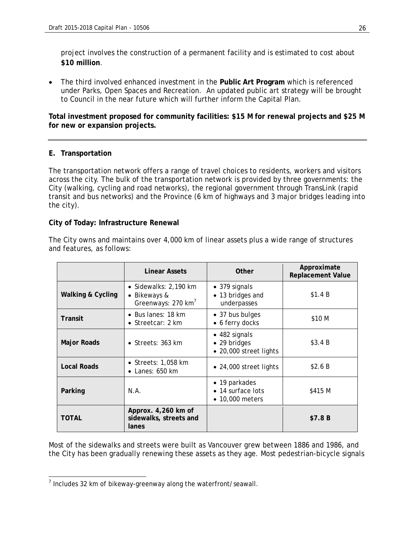project involves the construction of a permanent facility and is estimated to cost about **\$10 million**.

 The third involved enhanced investment in the **Public Art Program** which is referenced under Parks, Open Spaces and Recreation. An updated public art strategy will be brought to Council in the near future which will further inform the Capital Plan.

**Total investment proposed for community facilities: \$15 M for renewal projects and \$25 M for new or expansion projects.**

#### **E. Transportation**

The transportation network offers a range of travel choices to residents, workers and visitors across the city. The bulk of the transportation network is provided by three governments: the City (walking, cycling and road networks), the regional government through TransLink (rapid transit and bus networks) and the Province (6 km of highways and 3 major bridges leading into the city).

#### **City of Today: Infrastructure Renewal**

The City owns and maintains over 4,000 km of linear assets plus a wide range of structures and features, as follows:

|                              | Linear Assets                                                           | Other                                                           | Approximate<br><b>Replacement Value</b> |
|------------------------------|-------------------------------------------------------------------------|-----------------------------------------------------------------|-----------------------------------------|
| <b>Walking &amp; Cycling</b> | • Sidewalks: 2,190 km<br>• Bikeways &<br>Greenways: 270 km <sup>7</sup> | • 379 signals<br>• 13 bridges and<br>underpasses                | \$1.4 B                                 |
| Transit                      | $\bullet$ Bus lanes: 18 km<br>• Streetcar: $2 \text{ km}$               | • 37 bus bulges<br>• 6 ferry docks                              | \$10 M                                  |
| <b>Major Roads</b>           | • Streets: $363$ km                                                     | $\bullet$ 482 signals<br>• 29 bridges<br>• 20,000 street lights | \$3.4B                                  |
| <b>Local Roads</b>           | • Streets: $1,058$ km<br>$\bullet$ Lanes: 650 km                        | $\bullet$ 24,000 street lights                                  | \$2.6B                                  |
| Parking                      | N.A.                                                                    | • 19 parkades<br>• 14 surface lots<br>• 10,000 meters           | \$415 M                                 |
| <b>TOTAL</b>                 | Approx. 4,260 km of<br>sidewalks, streets and<br>lanes                  |                                                                 | \$7.8 B                                 |

Most of the sidewalks and streets were built as Vancouver grew between 1886 and 1986, and the City has been gradually renewing these assets as they age. Most pedestrian-bicycle signals

 7 Includes 32 km of bikeway-greenway along the waterfront/seawall.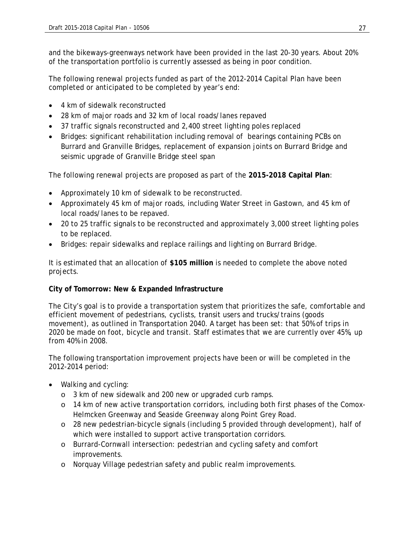and the bikeways-greenways network have been provided in the last 20-30 years. About 20% of the transportation portfolio is currently assessed as being in poor condition.

The following renewal projects funded as part of the 2012-2014 Capital Plan have been completed or anticipated to be completed by year's end:

- 4 km of sidewalk reconstructed
- 28 km of major roads and 32 km of local roads/lanes repaved
- 37 traffic signals reconstructed and 2,400 street lighting poles replaced
- Bridges: significant rehabilitation including removal of bearings containing PCBs on Burrard and Granville Bridges, replacement of expansion joints on Burrard Bridge and seismic upgrade of Granville Bridge steel span

The following renewal projects are proposed as part of the **2015-2018 Capital Plan**:

- Approximately 10 km of sidewalk to be reconstructed.
- Approximately 45 km of major roads, including Water Street in Gastown, and 45 km of local roads/lanes to be repaved.
- 20 to 25 traffic signals to be reconstructed and approximately 3,000 street lighting poles to be replaced.
- Bridges: repair sidewalks and replace railings and lighting on Burrard Bridge.

It is estimated that an allocation of **\$105 million** is needed to complete the above noted projects.

#### **City of Tomorrow: New & Expanded Infrastructure**

The City's goal is to provide a transportation system that prioritizes the safe, comfortable and efficient movement of pedestrians, cyclists, transit users and trucks/trains (goods movement), as outlined in Transportation 2040. A target has been set: that 50% of trips in 2020 be made on foot, bicycle and transit. Staff estimates that we are currently over 45%, up from 40% in 2008.

The following transportation improvement projects have been or will be completed in the 2012-2014 period:

- Walking and cycling:
	- o 3 km of new sidewalk and 200 new or upgraded curb ramps.
	- o 14 km of new active transportation corridors, including both first phases of the Comox-Helmcken Greenway and Seaside Greenway along Point Grey Road.
	- o 28 new pedestrian-bicycle signals (including 5 provided through development), half of which were installed to support active transportation corridors.
	- o Burrard-Cornwall intersection: pedestrian and cycling safety and comfort improvements.
	- o Norquay Village pedestrian safety and public realm improvements.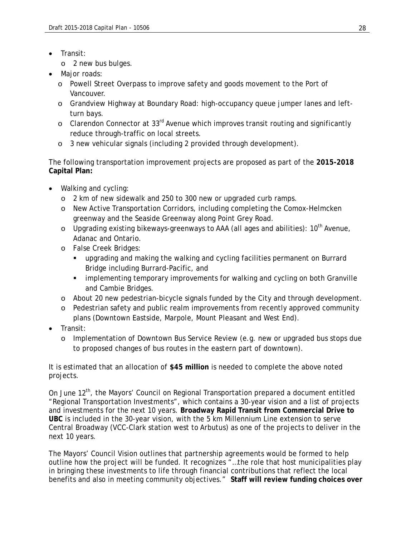- Transit:
	- o 2 new bus bulges.
- Major roads:
	- o Powell Street Overpass to improve safety and goods movement to the Port of Vancouver.
	- o Grandview Highway at Boundary Road: high-occupancy queue jumper lanes and leftturn bays.
	- o Clarendon Connector at 33rd Avenue which improves transit routing and significantly reduce through-traffic on local streets.
	- o 3 new vehicular signals (including 2 provided through development).

The following transportation improvement projects are proposed as part of the **2015-2018 Capital Plan:** 

- Walking and cycling:
	- o 2 km of new sidewalk and 250 to 300 new or upgraded curb ramps.
	- o New Active Transportation Corridors, including completing the Comox-Helmcken greenway and the Seaside Greenway along Point Grey Road.
	- o Upgrading existing bikeways-greenways to AAA (all ages and abilities):  $10^{th}$  Avenue, Adanac and Ontario.
	- o False Creek Bridges:
		- upgrading and making the walking and cycling facilities permanent on Burrard Bridge including Burrard-Pacific, and
		- **EXEDENT** implementing temporary improvements for walking and cycling on both Granville and Cambie Bridges.
	- o About 20 new pedestrian-bicycle signals funded by the City and through development.
	- o Pedestrian safety and public realm improvements from recently approved community plans (Downtown Eastside, Marpole, Mount Pleasant and West End).
- Transit:
	- o Implementation of Downtown Bus Service Review (e.g. new or upgraded bus stops due to proposed changes of bus routes in the eastern part of downtown).

It is estimated that an allocation of **\$45 million** is needed to complete the above noted projects.

On June 12<sup>th</sup>, the Mayors' Council on Regional Transportation prepared a document entitled "Regional Transportation Investments", which contains a 30-year vision and a list of projects and investments for the next 10 years. **Broadway Rapid Transit from Commercial Drive to UBC** is included in the 30-year vision, with the 5 km Millennium Line extension to serve Central Broadway (VCC-Clark station west to Arbutus) as one of the projects to deliver in the next 10 years.

The Mayors' Council Vision outlines that partnership agreements would be formed to help outline how the project will be funded. It recognizes "…the role that host municipalities play in bringing these investments to life through financial contributions that reflect the local benefits and also in meeting community objectives." **Staff will review funding choices over**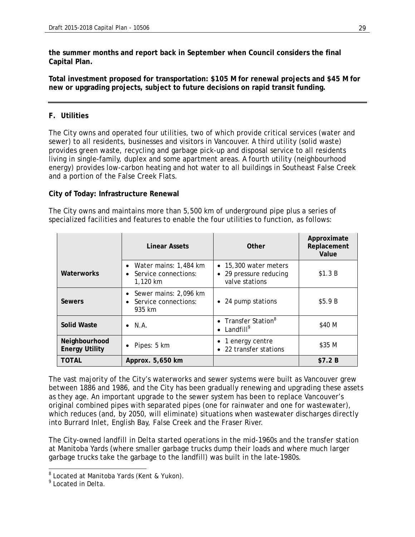**the summer months and report back in September when Council considers the final Capital Plan.**

**Total investment proposed for transportation: \$105 M for renewal projects and \$45 M for new or upgrading projects, subject to future decisions on rapid transit funding.**

#### **F. Utilities**

The City owns and operated four utilities, two of which provide critical services (water and sewer) to all residents, businesses and visitors in Vancouver. A third utility (solid waste) provides green waste, recycling and garbage pick-up and disposal service to all residents living in single-family, duplex and some apartment areas. A fourth utility (neighbourhood energy) provides low-carbon heating and hot water to all buildings in Southeast False Creek and a portion of the False Creek Flats.

#### **City of Today: Infrastructure Renewal**

The City owns and maintains more than 5,500 km of underground pipe plus a series of specialized facilities and features to enable the four utilities to function, as follows:

|                                        | Linear Assets                                                 | Other                                                             | Approximate<br>Replacement<br>Value |
|----------------------------------------|---------------------------------------------------------------|-------------------------------------------------------------------|-------------------------------------|
| Waterworks                             | • Water mains: $1,484$ km<br>Service connections:<br>1,120 km | • 15,300 water meters<br>• 29 pressure reducing<br>valve stations | \$1.3 B                             |
| Sewers                                 | • Sewer mains: 2,096 km<br>• Service connections:<br>935 km   | • 24 pump stations                                                | \$5.9B                              |
| <b>Solid Waste</b>                     | $\bullet$ N.A.                                                | • Transfer Station <sup>8</sup><br>• Landfill <sup>9</sup>        | \$40 M                              |
| Neighbourhood<br><b>Energy Utility</b> | $\bullet$ Pipes: 5 km                                         | • 1 energy centre<br>• 22 transfer stations                       | \$35 M                              |
| <b>TOTAL</b>                           | Approx. 5,650 km                                              |                                                                   | \$7.2B                              |

The vast majority of the City's waterworks and sewer systems were built as Vancouver grew between 1886 and 1986, and the City has been gradually renewing and upgrading these assets as they age. An important upgrade to the sewer system has been to replace Vancouver's original combined pipes with separated pipes (one for rainwater and one for wastewater), which reduces (and, by 2050, will eliminate) situations when wastewater discharges directly into Burrard Inlet, English Bay, False Creek and the Fraser River.

The City-owned landfill in Delta started operations in the mid-1960s and the transfer station at Manitoba Yards (where smaller garbage trucks dump their loads and where much larger garbage trucks take the garbage to the landfill) was built in the late-1980s.

<sup>&</sup>lt;sup>8</sup> Located at Manitoba Yards (Kent & Yukon).

<sup>&</sup>lt;sup>9</sup> Located in Delta.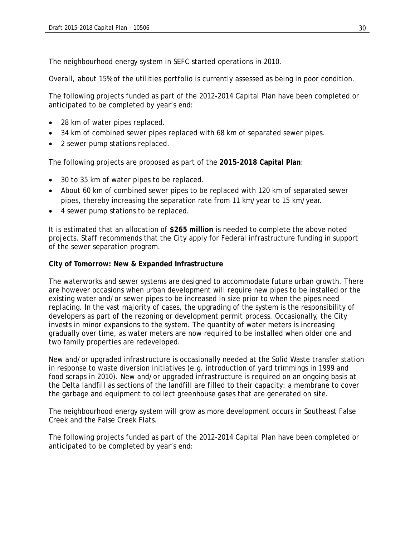The neighbourhood energy system in SEFC started operations in 2010.

Overall, about 15% of the utilities portfolio is currently assessed as being in poor condition.

The following projects funded as part of the 2012-2014 Capital Plan have been completed or anticipated to be completed by year's end:

- 28 km of water pipes replaced.
- 34 km of combined sewer pipes replaced with 68 km of separated sewer pipes.
- 2 sewer pump stations replaced.

The following projects are proposed as part of the **2015-2018 Capital Plan**:

- 30 to 35 km of water pipes to be replaced.
- About 60 km of combined sewer pipes to be replaced with 120 km of separated sewer pipes, thereby increasing the separation rate from 11 km/year to 15 km/year.
- 4 sewer pump stations to be replaced.

It is estimated that an allocation of **\$265 million** is needed to complete the above noted projects. Staff recommends that the City apply for Federal infrastructure funding in support of the sewer separation program.

#### **City of Tomorrow: New & Expanded Infrastructure**

The waterworks and sewer systems are designed to accommodate future urban growth. There are however occasions when urban development will require new pipes to be installed or the existing water and/or sewer pipes to be increased in size prior to when the pipes need replacing. In the vast majority of cases, the upgrading of the system is the responsibility of developers as part of the rezoning or development permit process. Occasionally, the City invests in minor expansions to the system. The quantity of water meters is increasing gradually over time, as water meters are now required to be installed when older one and two family properties are redeveloped.

New and/or upgraded infrastructure is occasionally needed at the Solid Waste transfer station in response to waste diversion initiatives (e.g. introduction of yard trimmings in 1999 and food scraps in 2010). New and/or upgraded infrastructure is required on an ongoing basis at the Delta landfill as sections of the landfill are filled to their capacity: a membrane to cover the garbage and equipment to collect greenhouse gases that are generated on site.

The neighbourhood energy system will grow as more development occurs in Southeast False Creek and the False Creek Flats.

The following projects funded as part of the 2012-2014 Capital Plan have been completed or anticipated to be completed by year's end: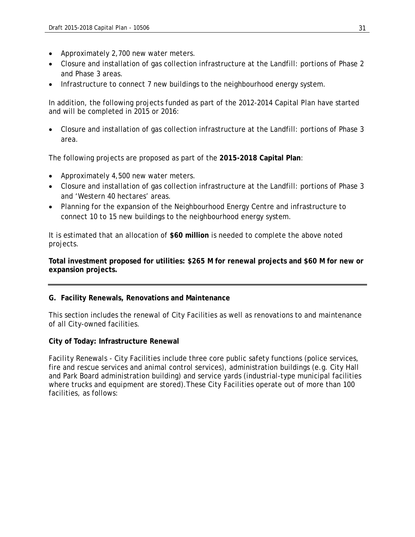- Approximately 2,700 new water meters.
- Closure and installation of gas collection infrastructure at the Landfill: portions of Phase 2 and Phase 3 areas.
- Infrastructure to connect 7 new buildings to the neighbourhood energy system.

In addition, the following projects funded as part of the 2012-2014 Capital Plan have started and will be completed in 2015 or 2016:

 Closure and installation of gas collection infrastructure at the Landfill: portions of Phase 3 area.

The following projects are proposed as part of the **2015-2018 Capital Plan**:

- Approximately 4,500 new water meters.
- Closure and installation of gas collection infrastructure at the Landfill: portions of Phase 3 and 'Western 40 hectares' areas.
- Planning for the expansion of the Neighbourhood Energy Centre and infrastructure to connect 10 to 15 new buildings to the neighbourhood energy system.

It is estimated that an allocation of **\$60 million** is needed to complete the above noted projects.

**Total investment proposed for utilities: \$265 M for renewal projects and \$60 M for new or expansion projects.**

#### **G. Facility Renewals, Renovations and Maintenance**

This section includes the renewal of City Facilities as well as renovations to and maintenance of all City-owned facilities.

#### **City of Today: Infrastructure Renewal**

*Facility Renewals -* City Facilities include three core public safety functions (police services, fire and rescue services and animal control services), administration buildings (e.g. City Hall and Park Board administration building) and service yards (industrial-type municipal facilities where trucks and equipment are stored). These City Facilities operate out of more than 100 facilities, as follows: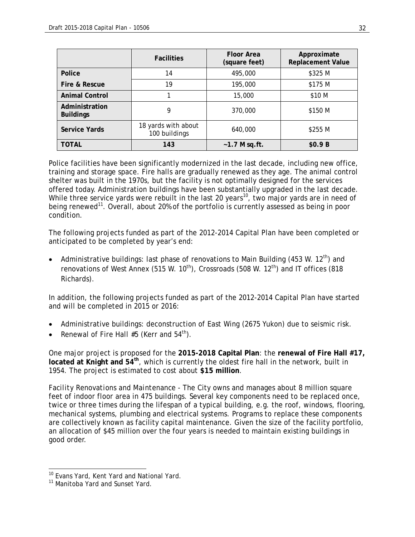|                                    | <b>Facilities</b>                    | <b>Floor Area</b><br>(square feet) | Approximate<br><b>Replacement Value</b> |
|------------------------------------|--------------------------------------|------------------------------------|-----------------------------------------|
| Police                             | 14                                   | 495,000                            | \$325 M                                 |
| Fire & Rescue                      | 19                                   | 195,000                            | \$175 M                                 |
| <b>Animal Control</b>              |                                      | 15,000                             | \$10 M                                  |
| Administration<br><b>Buildings</b> | 9                                    | 370,000                            | \$150 M                                 |
| Service Yards                      | 18 yards with about<br>100 buildings | 640,000                            | \$255 M                                 |
| <b>TOTAL</b>                       | 143                                  | $-1.7$ M sq.ft.                    | \$0.9B                                  |

Police facilities have been significantly modernized in the last decade, including new office, training and storage space. Fire halls are gradually renewed as they age. The animal control shelter was built in the 1970s, but the facility is not optimally designed for the services offered today. Administration buildings have been substantially upgraded in the last decade. While three service yards were rebuilt in the last 20 years<sup>10</sup>, two major yards are in need of being renewed<sup>11</sup>. Overall, about 20% of the portfolio is currently assessed as being in poor condition.

The following projects funded as part of the 2012-2014 Capital Plan have been completed or anticipated to be completed by year's end:

• Administrative buildings: last phase of renovations to Main Building (453 W. 12<sup>th</sup>) and renovations of West Annex (515 W. 10<sup>th</sup>), Crossroads (508 W. 12<sup>th</sup>) and IT offices (818 Richards).

In addition, the following projects funded as part of the 2012-2014 Capital Plan have started and will be completed in 2015 or 2016:

- Administrative buildings: deconstruction of East Wing (2675 Yukon) due to seismic risk.
- Renewal of Fire Hall  $#5$  (Kerr and  $54<sup>th</sup>$ ).

One major project is proposed for the **2015-2018 Capital Plan**: the **renewal of Fire Hall #17, located at Knight and 54th**, which is currently the oldest fire hall in the network, built in 1954. The project is estimated to cost about **\$15 million**.

*Facility Renovations and Maintenance* - The City owns and manages about 8 million square feet of indoor floor area in 475 buildings. Several key components need to be replaced once, twice or three times during the lifespan of a typical building, e.g. the roof, windows, flooring, mechanical systems, plumbing and electrical systems. Programs to replace these components are collectively known as facility capital maintenance. Given the size of the facility portfolio, an allocation of \$45 million over the four years is needed to maintain existing buildings in good order.

-

<sup>&</sup>lt;sup>10</sup> Evans Yard, Kent Yard and National Yard.

<sup>&</sup>lt;sup>11</sup> Manitoba Yard and Sunset Yard.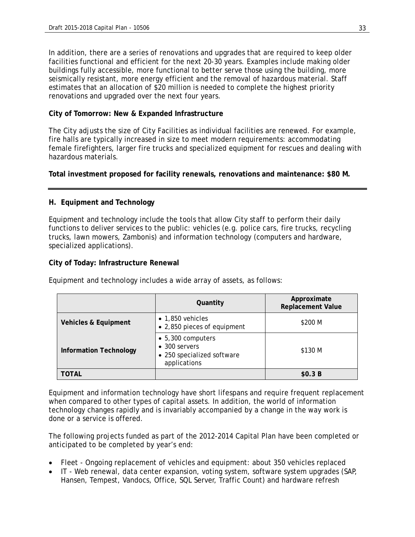In addition, there are a series of renovations and upgrades that are required to keep older facilities functional and efficient for the next 20-30 years. Examples include making older buildings fully accessible, more functional to better serve those using the building, more seismically resistant, more energy efficient and the removal of hazardous material. Staff estimates that an allocation of \$20 million is needed to complete the highest priority renovations and upgraded over the next four years.

#### **City of Tomorrow: New & Expanded Infrastructure**

The City adjusts the size of City Facilities as individual facilities are renewed. For example, fire halls are typically increased in size to meet modern requirements: accommodating female firefighters, larger fire trucks and specialized equipment for rescues and dealing with hazardous materials.

**Total investment proposed for facility renewals, renovations and maintenance: \$80 M.** 

#### **H. Equipment and Technology**

Equipment and technology include the tools that allow City staff to perform their daily functions to deliver services to the public: vehicles (e.g. police cars, fire trucks, recycling trucks, lawn mowers, Zambonis) and information technology (computers and hardware, specialized applications).

#### **City of Today: Infrastructure Renewal**

|                               | Quantity                                                                                 | Approximate<br><b>Replacement Value</b> |
|-------------------------------|------------------------------------------------------------------------------------------|-----------------------------------------|
| Vehicles & Equipment          | $\bullet$ 1,850 vehicles<br>• 2,850 pieces of equipment                                  | \$200 M                                 |
| <b>Information Technology</b> | $\bullet$ 5,300 computers<br>• 300 servers<br>• 250 specialized software<br>applications | \$130 M                                 |
| TOTAL                         |                                                                                          | \$0.3B                                  |

Equipment and technology includes a wide array of assets, as follows:

Equipment and information technology have short lifespans and require frequent replacement when compared to other types of capital assets. In addition, the world of information technology changes rapidly and is invariably accompanied by a change in the way work is done or a service is offered.

The following projects funded as part of the 2012-2014 Capital Plan have been completed or anticipated to be completed by year's end:

- Fleet Ongoing replacement of vehicles and equipment: about 350 vehicles replaced
- IT Web renewal, data center expansion, voting system, software system upgrades (SAP, Hansen, Tempest, Vandocs, Office, SQL Server, Traffic Count) and hardware refresh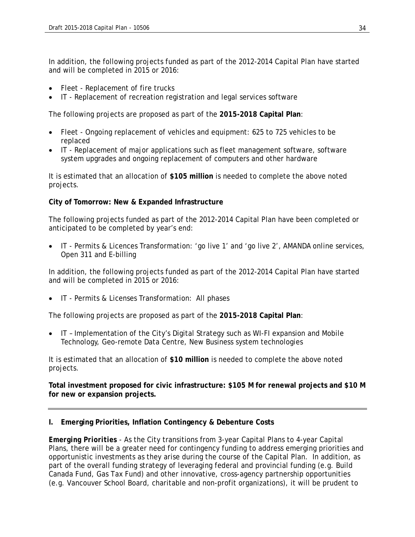In addition, the following projects funded as part of the 2012-2014 Capital Plan have started and will be completed in 2015 or 2016:

- Fleet Replacement of fire trucks
- IT Replacement of recreation registration and legal services software

The following projects are proposed as part of the **2015-2018 Capital Plan**:

- Fleet Ongoing replacement of vehicles and equipment: 625 to 725 vehicles to be replaced
- IT Replacement of major applications such as fleet management software, software system upgrades and ongoing replacement of computers and other hardware

It is estimated that an allocation of **\$105 million** is needed to complete the above noted projects.

#### **City of Tomorrow: New & Expanded Infrastructure**

The following projects funded as part of the 2012-2014 Capital Plan have been completed or anticipated to be completed by year's end:

 IT - Permits & Licences Transformation: 'go live 1' and 'go live 2', AMANDA online services, Open 311 and E-billing

In addition, the following projects funded as part of the 2012-2014 Capital Plan have started and will be completed in 2015 or 2016:

IT - Permits & Licenses Transformation: All phases

The following projects are proposed as part of the **2015-2018 Capital Plan**:

 IT – Implementation of the City's Digital Strategy such as WI-FI expansion and Mobile Technology, Geo-remote Data Centre, New Business system technologies

It is estimated that an allocation of **\$10 million** is needed to complete the above noted projects.

**Total investment proposed for civic infrastructure: \$105 M for renewal projects and \$10 M for new or expansion projects.** 

#### **I. Emerging Priorities, Inflation Contingency & Debenture Costs**

*Emerging Priorities* - As the City transitions from 3-year Capital Plans to 4-year Capital Plans, there will be a greater need for contingency funding to address emerging priorities and opportunistic investments as they arise during the course of the Capital Plan. In addition, as part of the overall funding strategy of leveraging federal and provincial funding (e.g. Build Canada Fund, Gas Tax Fund) and other innovative, cross-agency partnership opportunities (e.g. Vancouver School Board, charitable and non-profit organizations), it will be prudent to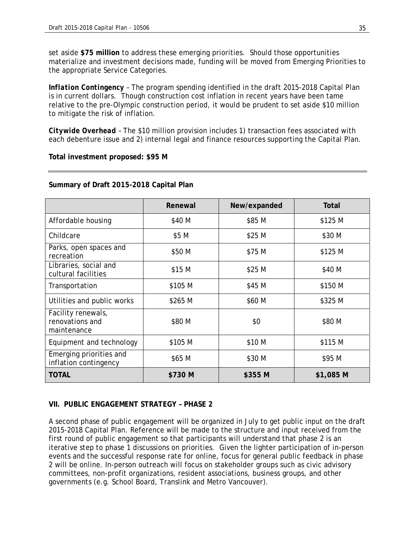set aside **\$75 million** to address these emerging priorities. Should those opportunities materialize and investment decisions made, funding will be moved from Emerging Priorities to the appropriate Service Categories.

*Inflation Contingency* – The program spending identified in the draft 2015-2018 Capital Plan is in current dollars. Though construction cost inflation in recent years have been tame relative to the pre-Olympic construction period, it would be prudent to set aside \$10 million to mitigate the risk of inflation.

*Citywide Overhead* – The \$10 million provision includes 1) transaction fees associated with each debenture issue and 2) internal legal and finance resources supporting the Capital Plan.

**Total investment proposed: \$95 M** 

|                                                      | Renewal | New/expanded | Total     |
|------------------------------------------------------|---------|--------------|-----------|
| Affordable housing                                   | \$40 M  | \$85 M       | \$125 M   |
| Childcare                                            | \$5 M   | \$25 M       | \$30 M    |
| Parks, open spaces and<br>recreation                 | \$50 M  | \$75 M       | \$125 M   |
| Libraries, social and<br>cultural facilities         | \$15 M  | \$25 M       | \$40 M    |
| Transportation                                       | \$105 M | \$45 M       | \$150 M   |
| Utilities and public works                           | \$265 M | \$60 M       | \$325 M   |
| Facility renewals,<br>renovations and<br>maintenance | \$80 M  | \$0          | \$80 M    |
| Equipment and technology                             | \$105 M | \$10 M       | \$115 M   |
| Emerging priorities and<br>inflation contingency     | \$65 M  | \$30 M       | \$95 M    |
| <b>TOTAL</b>                                         | \$730 M | \$355 M      | \$1,085 M |

#### **Summary of Draft 2015-2018 Capital Plan**

#### **VII. PUBLIC ENGAGEMENT STRATEGY – PHASE 2**

A second phase of public engagement will be organized in July to get public input on the draft 2015-2018 Capital Plan. Reference will be made to the structure and input received from the first round of public engagement so that participants will understand that phase 2 is an iterative step to phase 1 discussions on priorities. Given the lighter participation of in-person events and the successful response rate for online, focus for general public feedback in phase 2 will be online. In-person outreach will focus on stakeholder groups such as civic advisory committees, non-profit organizations, resident associations, business groups, and other governments (e.g. School Board, Translink and Metro Vancouver).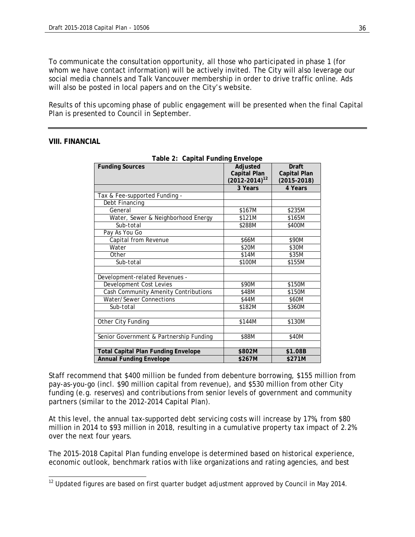To communicate the consultation opportunity, all those who participated in phase 1 (for whom we have contact information) will be actively invited. The City will also leverage our social media channels and Talk Vancouver membership in order to drive traffic online. Ads will also be posted in local papers and on the City's website.

Results of this upcoming phase of public engagement will be presented when the final Capital Plan is presented to Council in September.

| Table 2: Capital Funding Envelope          |                      |                 |
|--------------------------------------------|----------------------|-----------------|
| <b>Funding Sources</b>                     | Adjusted             | Draft           |
|                                            | Capital Plan         | Capital Plan    |
|                                            | $(2012 - 2014)^{12}$ | $(2015 - 2018)$ |
|                                            | 3 Years              | 4 Years         |
| Tax & Fee-supported Funding -              |                      |                 |
| Debt Financing                             |                      |                 |
| General                                    | \$167M               | \$235M          |
| Water, Sewer & Neighborhood Energy         | \$121M               | \$165M          |
| Sub-total                                  | \$288M               | \$400M          |
| Pay As You Go                              |                      |                 |
| Capital from Revenue                       | \$66M                | \$90M           |
| Water                                      | \$20M                | \$30M           |
| Other                                      | \$14M                | \$35M           |
| Sub-total                                  | \$100M               | \$155M          |
|                                            |                      |                 |
| Development-related Revenues -             |                      |                 |
| <b>Development Cost Levies</b>             | \$90M                | \$150M          |
| Cash Community Amenity Contributions       | \$48M                | \$150M          |
| Water/Sewer Connections                    | \$44M                | \$60M           |
| Sub-total                                  | \$182M               | \$360M          |
|                                            |                      |                 |
| Other City Funding                         | \$144M               | \$130M          |
|                                            |                      |                 |
| Senior Government & Partnership Funding    | \$88M                | \$40M           |
|                                            |                      |                 |
| <b>Total Capital Plan Funding Envelope</b> | \$802M               | \$1.08B         |
| <b>Annual Funding Envelope</b>             | \$267M               | \$271M          |

**Table 2: Capital Funding Envelope** 

Staff recommend that \$400 million be funded from debenture borrowing, \$155 million from pay-as-you-go (incl. \$90 million capital from revenue), and \$530 million from other City funding (e.g. reserves) and contributions from senior levels of government and community partners (similar to the 2012-2014 Capital Plan).

At this level, the annual tax-supported debt servicing costs will increase by 17%, from \$80 million in 2014 to \$93 million in 2018, resulting in a cumulative property tax impact of 2.2% over the next four years.

The 2015-2018 Capital Plan funding envelope is determined based on historical experience, economic outlook, benchmark ratios with like organizations and rating agencies, and best

  $12$  Updated figures are based on first quarter budget adjustment approved by Council in May 2014.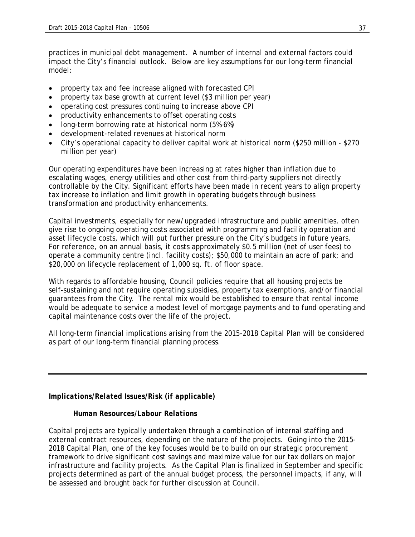practices in municipal debt management. A number of internal and external factors could impact the City's financial outlook. Below are key assumptions for our long-term financial model:

- property tax and fee increase aligned with forecasted CPI
- property tax base growth at current level (\$3 million per year)
- operating cost pressures continuing to increase above CPI
- productivity enhancements to offset operating costs
- long-term borrowing rate at historical norm (5%-6%)
- development-related revenues at historical norm
- City's operational capacity to deliver capital work at historical norm (\$250 million \$270 million per year)

Our operating expenditures have been increasing at rates higher than inflation due to escalating wages, energy utilities and other cost from third-party suppliers not directly controllable by the City. Significant efforts have been made in recent years to align property tax increase to inflation and limit growth in operating budgets through business transformation and productivity enhancements.

Capital investments, especially for new/upgraded infrastructure and public amenities, often give rise to ongoing operating costs associated with programming and facility operation and asset lifecycle costs, which will put further pressure on the City's budgets in future years. For reference, on an annual basis, it costs approximately \$0.5 million (net of user fees) to operate a community centre (incl. facility costs); \$50,000 to maintain an acre of park; and \$20,000 on lifecycle replacement of 1,000 sq. ft. of floor space.

With regards to affordable housing, Council policies require that all housing projects be self-sustaining and not require operating subsidies, property tax exemptions, and/or financial guarantees from the City. The rental mix would be established to ensure that rental income would be adequate to service a modest level of mortgage payments and to fund operating and capital maintenance costs over the life of the project.

All long-term financial implications arising from the 2015-2018 Capital Plan will be considered as part of our long-term financial planning process.

*Implications/Related Issues/Risk (if applicable)* 

#### *Human Resources/Labour Relations*

Capital projects are typically undertaken through a combination of internal staffing and external contract resources, depending on the nature of the projects. Going into the 2015- 2018 Capital Plan, one of the key focuses would be to build on our strategic procurement framework to drive significant cost savings and maximize value for our tax dollars on major infrastructure and facility projects. As the Capital Plan is finalized in September and specific projects determined as part of the annual budget process, the personnel impacts, if any, will be assessed and brought back for further discussion at Council.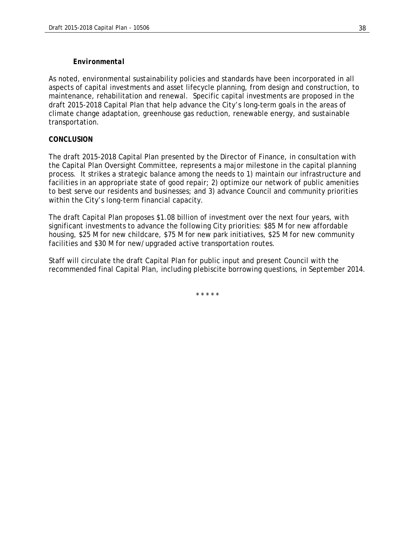#### *Environmental*

As noted, environmental sustainability policies and standards have been incorporated in all aspects of capital investments and asset lifecycle planning, from design and construction, to maintenance, rehabilitation and renewal. Specific capital investments are proposed in the draft 2015-2018 Capital Plan that help advance the City's long-term goals in the areas of climate change adaptation, greenhouse gas reduction, renewable energy, and sustainable transportation.

#### *CONCLUSION*

The draft 2015-2018 Capital Plan presented by the Director of Finance, in consultation with the Capital Plan Oversight Committee, represents a major milestone in the capital planning process. It strikes a strategic balance among the needs to 1) maintain our infrastructure and facilities in an appropriate state of good repair; 2) optimize our network of public amenities to best serve our residents and businesses; and 3) advance Council and community priorities within the City's long-term financial capacity.

The draft Capital Plan proposes \$1.08 billion of investment over the next four years, with significant investments to advance the following City priorities: \$85 M for new affordable housing, \$25 M for new childcare, \$75 M for new park initiatives, \$25 M for new community facilities and \$30 M for new/upgraded active transportation routes.

Staff will circulate the draft Capital Plan for public input and present Council with the recommended final Capital Plan, including plebiscite borrowing questions, in September 2014.

\* \* \* \* \*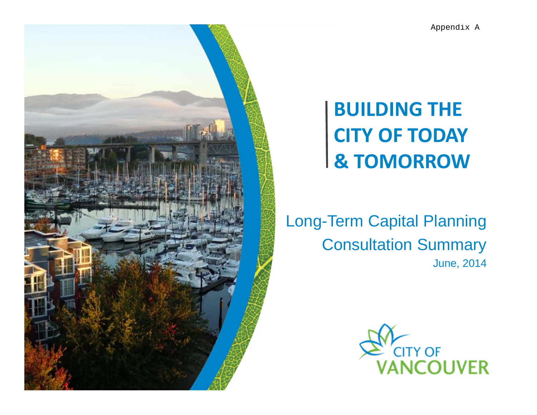

## **BUILDING THE CITY OF TODAY & TOMORROW**

Long-Term Capital Planning Consultation Summary June, 2014

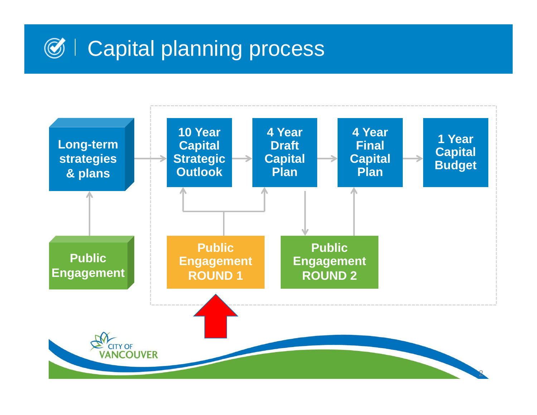# $\mathcal{O}$  **| Capital planning process**

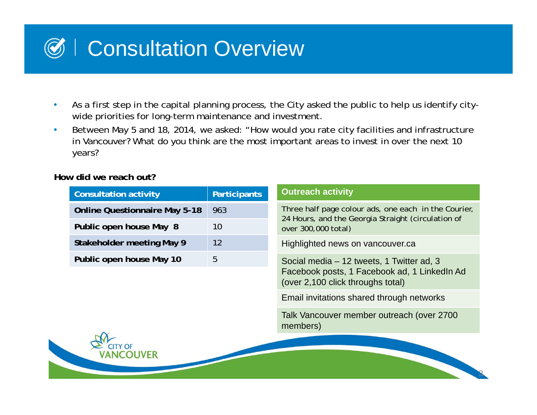# Consultation Overview

- • As a first step in the capital planning process, the City asked the public to help us identify citywide priorities for long-term maintenance and investment.
- $\bullet$  Between May 5 and 18, 2014, we asked: "How would you rate city facilities and infrastructure in Vancouver? What do you think are the most important areas to invest in over the next 10 years?

**How did we reach out?**

| <b>Consultation activity</b>         | <b>Participants</b> | <b>Outreach activity</b>                                                                                                       |
|--------------------------------------|---------------------|--------------------------------------------------------------------------------------------------------------------------------|
| <b>Online Questionnaire May 5-18</b> | 963                 | Three half page colour ads, one each in the Courier,                                                                           |
| Public open house May 8              | 10 <sup>°</sup>     | 24 Hours, and the Georgia Straight (circulation of<br>over 300,000 total)                                                      |
| Stakeholder meeting May 9            | 12                  | Highlighted news on vancouver.ca                                                                                               |
| Public open house May 10             | 5                   | Social media – 12 tweets, 1 Twitter ad, 3<br>Facebook posts, 1 Facebook ad, 1 LinkedIn Ad<br>(over 2,100 click throughs total) |
|                                      |                     | Email invitations shared through networks                                                                                      |
|                                      |                     | Talk Vancouver member outreach (over 2700<br>members)                                                                          |
|                                      |                     |                                                                                                                                |

3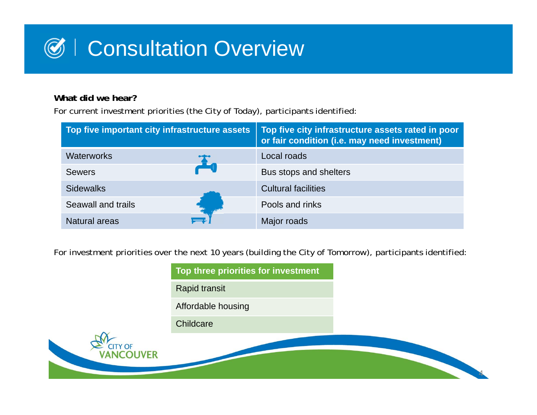

## **What did we hear?**

For current investment priorities (the City of Today), participants identified:

| Top five important city infrastructure assets | Top five city infrastructure assets rated in poor<br>or fair condition (i.e. may need investment) |
|-----------------------------------------------|---------------------------------------------------------------------------------------------------|
| <b>Waterworks</b>                             | Local roads                                                                                       |
| <b>Sewers</b>                                 | Bus stops and shelters                                                                            |
| Sidewalks                                     | <b>Cultural facilities</b>                                                                        |
| Seawall and trails                            | Pools and rinks                                                                                   |
| <b>Natural areas</b>                          | Major roads                                                                                       |

For investment priorities over the next 10 years (building the City of Tomorrow), participants identified:

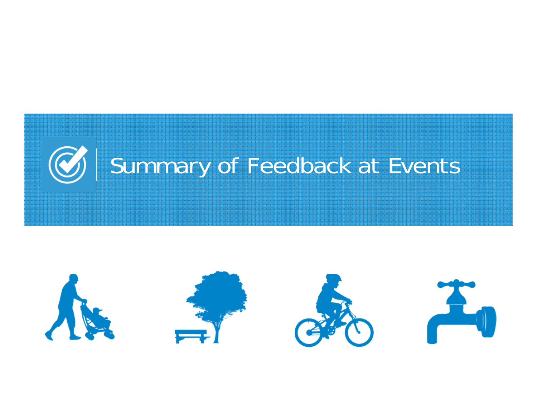

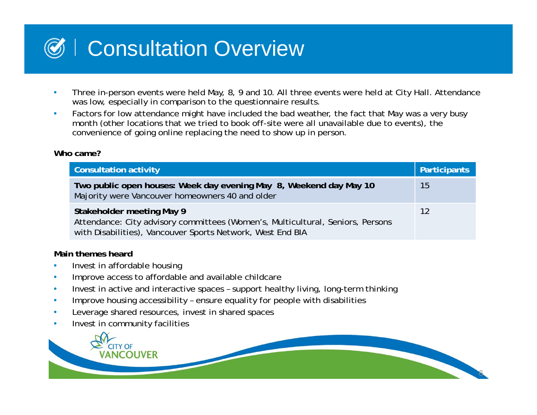# Consultation Overview

- • Three in-person events were held May, 8, 9 and 10. All three events were held at City Hall. Attendance was low, especially in comparison to the questionnaire results.
- $\bullet$  Factors for low attendance might have included the bad weather, the fact that May was a very busy month (other locations that we tried to book off-site were all unavailable due to events), the convenience of going online replacing the need to show up in person.

### **Who came?**

 $\bullet$ 

| <b>Consultation activity</b>                                                                                                                                              | Participants |
|---------------------------------------------------------------------------------------------------------------------------------------------------------------------------|--------------|
| Two public open houses: Week day evening May 8, Weekend day May 10<br>Majority were Vancouver homeowners 40 and older                                                     | 15           |
| Stakeholder meeting May 9<br>Attendance: City advisory committees (Women's, Multicultural, Seniors, Persons<br>with Disabilities), Vancouver Sports Network, West End BIA | 12           |
| Main themes heard<br>Invest in affordable housing                                                                                                                         |              |

- •Improve access to affordable and available childcare
- $\bullet$ Invest in active and interactive spaces – support healthy living, long-term thinking
- •Improve housing accessibility – ensure equality for people with disabilities
- •Leverage shared resources, invest in shared spaces
- •Invest in community facilities

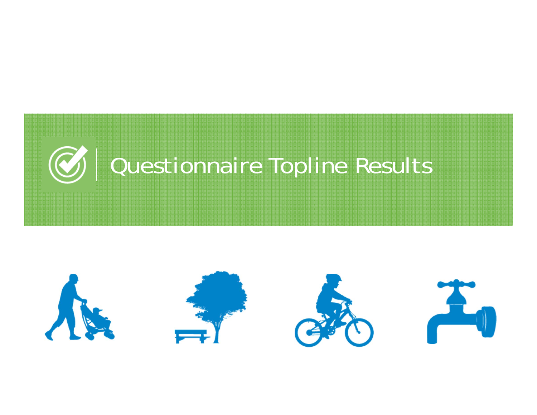

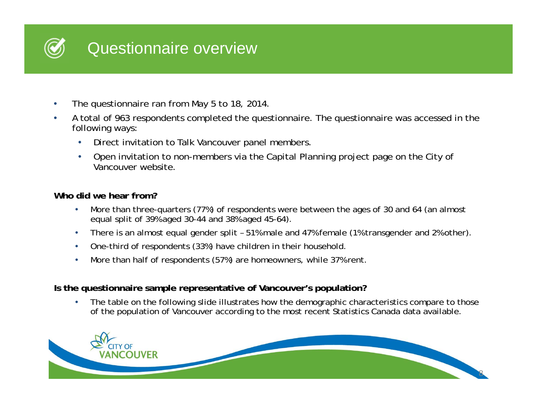

- •The questionnaire ran from May 5 to 18, 2014.
- • A total of 963 respondents completed the questionnaire. The questionnaire was accessed in the following ways:
	- •Direct invitation to Talk Vancouver panel members.
	- $\bullet$  Open invitation to non-members via the Capital Planning project page on the City of Vancouver website.

### **Who did we hear from?**

- • More than three-quarters (77%) of respondents were between the ages of 30 and 64 (an almost equal split of 39% aged 30-44 and 38% aged 45-64).
- •There is an almost equal gender split – 51% male and 47% female (1% transgender and 2% other).
- •One-third of respondents (33%) have children in their household.
- •More than half of respondents (57%) are homeowners, while 37% rent.

## **Is the questionnaire sample representative of Vancouver's population?**

• The table on the following slide illustrates how the demographic characteristics compare to those of the population of Vancouver according to the most recent Statistics Canada data available.

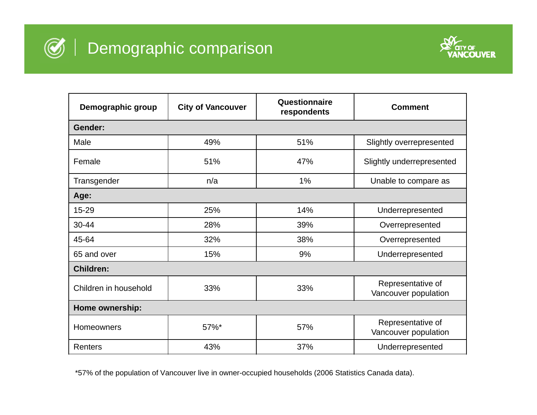



| Demographic group     | <b>City of Vancouver</b> | Questionnaire<br>respondents | <b>Comment</b>                            |  |
|-----------------------|--------------------------|------------------------------|-------------------------------------------|--|
| Gender:               |                          |                              |                                           |  |
| Male                  | 49%                      | 51%                          | Slightly overrepresented                  |  |
| Female                | 51%                      | 47%                          | Slightly underrepresented                 |  |
| Transgender           | n/a                      | 1%                           | Unable to compare as                      |  |
| Age:                  |                          |                              |                                           |  |
| 15-29                 | 25%                      | 14%                          | Underrepresented                          |  |
| 30-44                 | 28%                      | 39%                          | Overrepresented                           |  |
| 45-64                 | 32%                      | 38%                          | Overrepresented                           |  |
| 65 and over           | 15%                      | 9%                           | Underrepresented                          |  |
| <b>Children:</b>      |                          |                              |                                           |  |
| Children in household | 33%                      | 33%                          | Representative of<br>Vancouver population |  |
| Home ownership:       |                          |                              |                                           |  |
| Homeowners            | 57%*                     | 57%                          | Representative of<br>Vancouver population |  |
| <b>Renters</b>        | 43%                      | 37%                          | Underrepresented                          |  |

\*57% of the population of Vancouver live in owner-occupied households (2006 Statistics Canada data).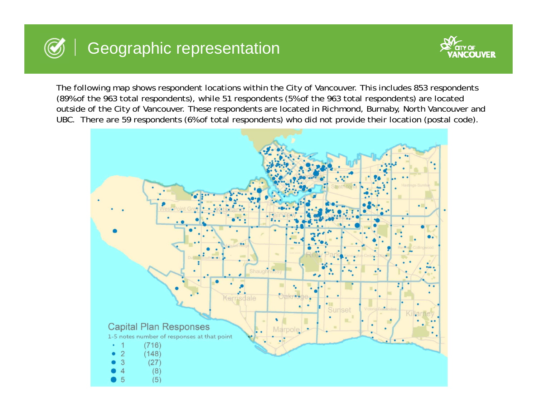## Geographic representation



The following map shows respondent locations within the City of Vancouver. This includes 853 respondents (89% of the 963 total respondents), while 51 respondents (5% of the 963 total respondents) are located outside of the City of Vancouver. These respondents are located in Richmond, Burnaby, North Vancouver and UBC. There are 59 respondents (6% of total respondents) who did not provide their location (postal code).

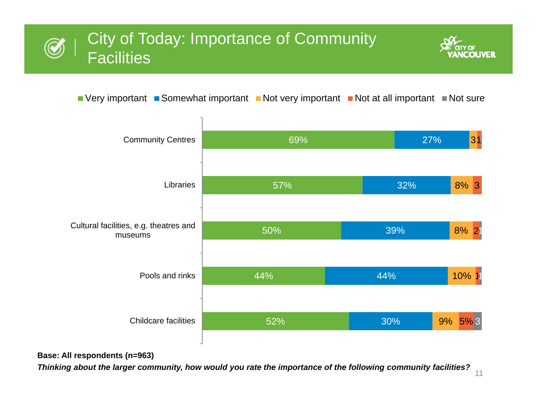## City of Today: Importance of Community  $\bm{\mathcal{C}}$ Facilities



 $\blacksquare$  Very important  $\blacksquare$  Somewhat important  $\blacksquare$  Not very important  $\blacksquare$  Not at all important  $\blacksquare$  Not sure



### **Base: All respondents (n=963)**

*Thinking about the larger community, how would you rate the importance of the following community facilities?*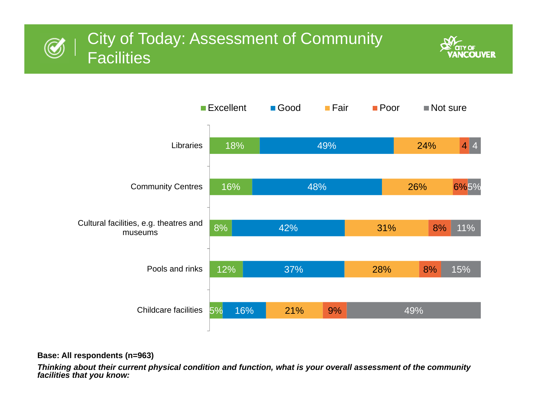





#### **Base: All respondents (n=963)**

*Thinking about their current physical condition and function, what is your overall assessment of the community facilities that you know:*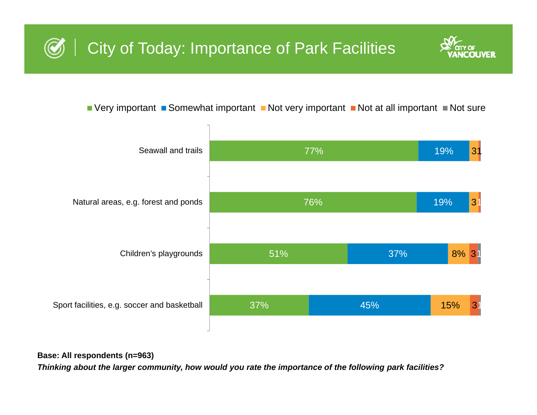## City of Today: Importance of Park Facilities



 $\blacksquare$  Very important  $\blacksquare$  Somewhat important  $\blacksquare$  Not very important  $\blacksquare$  Not at all important  $\blacksquare$  Not sure



**Base: All respondents (n=963)**

*Thinking about the larger community, how would you rate the importance of the following park facilities?*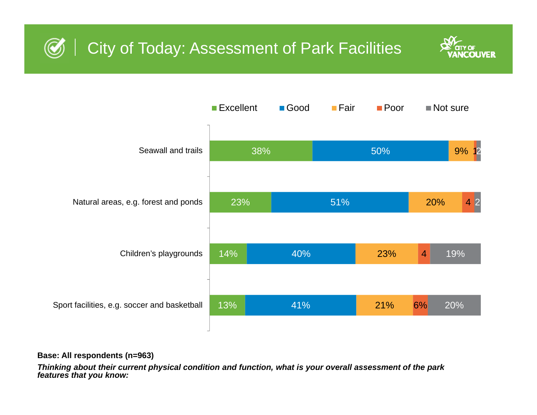## City of Today: Assessment of Park Facilities





#### **Base: All respondents (n=963)**

*Thinking about their current physical condition and function, what is your overall assessment of the park features that you know:*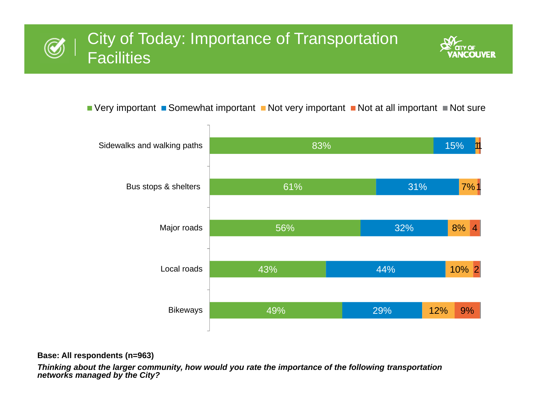## City of Today: Importance of Transportation  $\bigcircled{C}$ Facilities



 $\blacksquare$  Very important  $\blacksquare$  Somewhat important  $\blacksquare$  Not very important  $\blacksquare$  Not at all important  $\blacksquare$  Not sure



#### **Base: All respondents (n=963)**

*Thinking about the larger community, how would you rate the importance of the following transportation networks managed by the City?*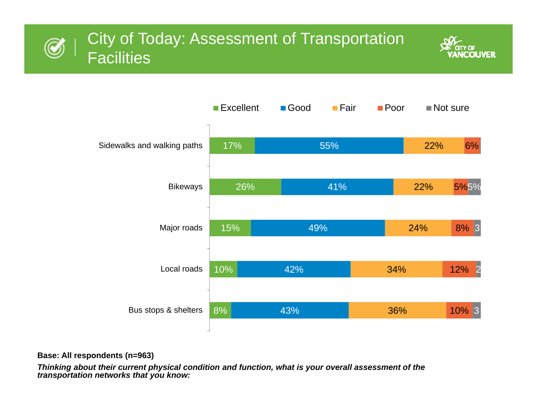## City of Today: Assessment of Transportation  $\bigcircled{C}$ Facilities





#### **Base: All respondents (n=963)**

*Thinking about their current physical condition and function, what is your overall assessment of the transportation networks that you know:*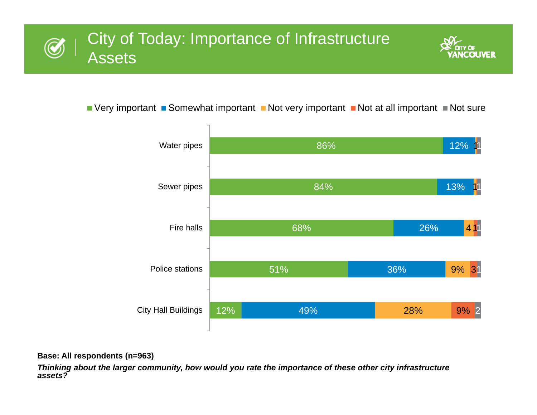



 $\blacksquare$  Very important  $\blacksquare$  Somewhat important  $\blacksquare$  Not very important  $\blacksquare$  Not at all important  $\blacksquare$  Not sure



#### **Base: All respondents (n=963)**

*Thinking about the larger community, how would you rate the importance of these other city infrastructure assets?*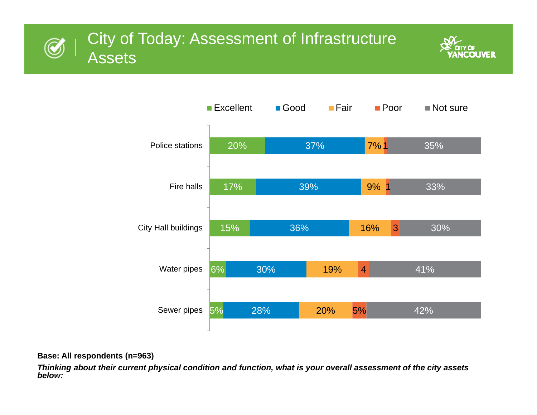





#### **Base: All respondents (n=963)**

*Thinking about their current physical condition and function, what is your overall assessment of the city assets below:*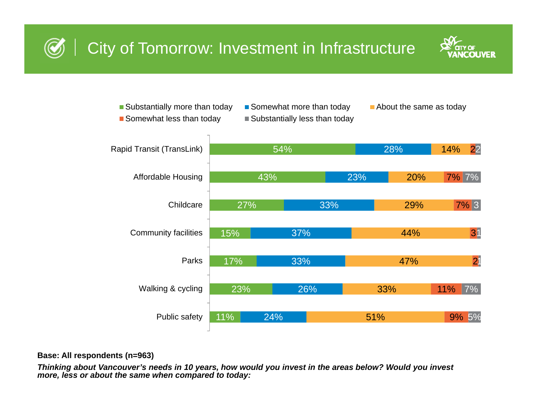

11%23%17%15%27%43%54%24%26%33%37%33%23%28%51%33%47%44%29%20%14%9%5%11%21317% 3 7% 7% 227%Public safety Walking & cycling ParksCommunity facilities **Childcare** Affordable Housing Rapid Transit (TransLink) Substantially more than today  $\square$  Somewhat more than today  $\square$  About the same as today Somewhat less than today  $\Box$  Substantially less than today

#### **Base: All respondents (n=963)**

*Thinking about Vancouver's needs in 10 years, how would you invest in the areas below? Would you invest more, less or about the same when compared to today:*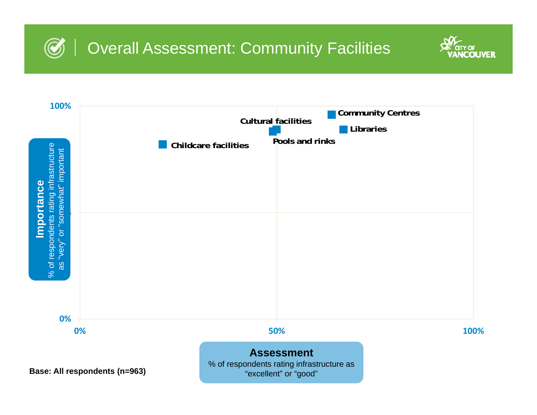



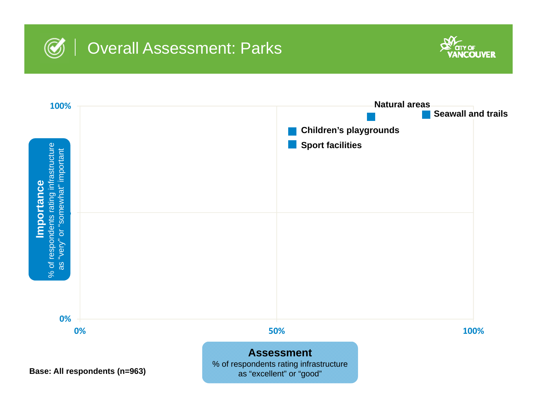



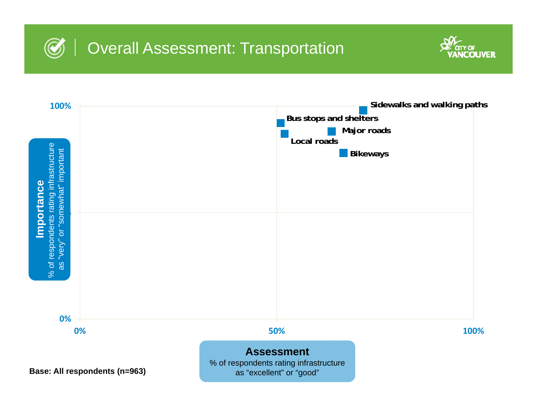



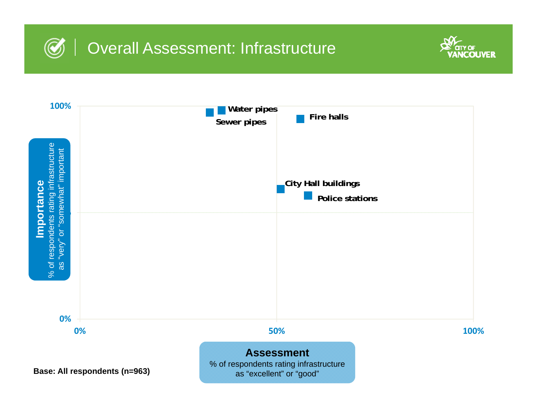